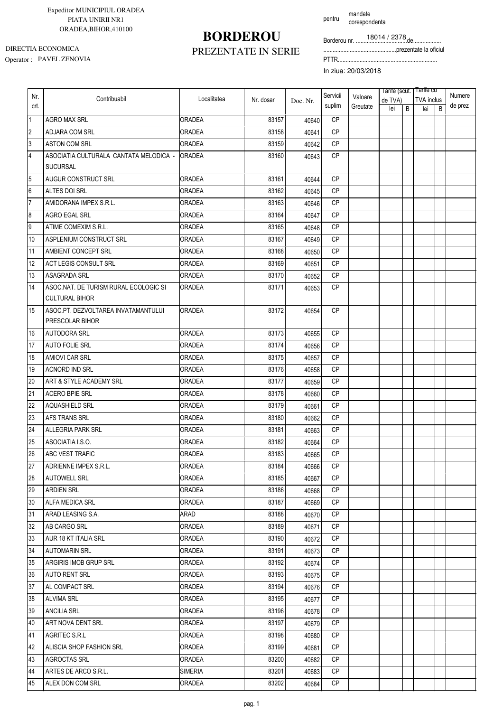### **BORDEROU**

pentru mandate corespondenta

Borderou nr. .................................de..................

...............................................prezentate la oficiul

Operator : PAVEL ZENOVIA PTTR................................................................ DIRECTIA ECONOMICA

### PREZENTATE IN SERIE

| <b>TVA</b> inclus<br>Nr. dosar<br>de TVA)<br>Doc. Nr.<br>suplim<br>de prez<br>crt.<br>Greutate<br>lei<br>B<br>B<br>lei<br>$\overline{1}$<br>ORADEA<br><b>AGRO MAX SRL</b><br>83157<br><b>CP</b><br>40640<br>$\overline{2}$<br><b>CP</b><br>83158<br>ADJARA COM SRL<br><b>ORADEA</b><br>40641<br>$\overline{3}$<br><b>ASTON COM SRL</b><br><b>ORADEA</b><br>83159<br><b>CP</b><br>40642<br>$\overline{4}$<br>ASOCIATIA CULTURALA CANTATA MELODICA -<br>CP<br><b>ORADEA</b><br>83160<br>40643<br><b>SUCURSAL</b><br>5<br>AUGUR CONSTRUCT SRL<br>83161<br><b>CP</b><br>ORADEA<br>40644<br>$6\phantom{.}6$<br>ALTES DOI SRL<br><b>ORADEA</b><br>83162<br><b>CP</b><br>40645<br>7<br><b>CP</b><br>AMIDORANA IMPEX S.R.L.<br>83163<br>ORADEA<br>40646<br>$\boldsymbol{8}$<br>AGRO EGAL SRL<br>83164<br><b>CP</b><br>ORADEA<br>40647<br> 9 <br><b>CP</b><br>ATIME COMEXIM S.R.L.<br>ORADEA<br>83165<br>40648<br>10<br>83167<br><b>CP</b><br>ASPLENIUM CONSTRUCT SRL<br><b>ORADEA</b><br>40649<br>11<br>AMBIENT CONCEPT SRL<br><b>ORADEA</b><br>83168<br><b>CP</b><br>40650<br>12<br><b>ACT LEGIS CONSULT SRL</b><br>83169<br><b>CP</b><br>ORADEA<br>40651<br>13<br><b>CP</b><br>ASAGRADA SRL<br>ORADEA<br>83170<br>40652<br>ASOC.NAT. DE TURISM RURAL ECOLOGIC SI<br>14<br><b>CP</b><br><b>ORADEA</b><br>83171<br>40653<br><b>CULTURAL BIHOR</b><br>ASOC.PT. DEZVOLTAREA INVATAMANTULUI<br><b>CP</b><br>15<br>ORADEA<br>83172<br>40654<br>PRESCOLAR BIHOR<br>16<br><b>AUTODORA SRL</b><br><b>ORADEA</b><br>83173<br><b>CP</b><br>40655<br>17<br>83174<br><b>CP</b><br>AUTO FOLIE SRL<br>ORADEA<br>40656<br>18<br>83175<br><b>CP</b><br>AMIOVI CAR SRL<br>ORADEA<br>40657<br>19<br><b>CP</b><br><b>ACNORD IND SRL</b><br>83176<br>ORADEA<br>40658<br>20<br>83177<br><b>CP</b><br>ART & STYLE ACADEMY SRL<br>ORADEA<br>40659<br>21<br><b>ACERO BPIE SRL</b><br>83178<br><b>CP</b><br>ORADEA<br>40660<br>22<br><b>AQUASHIELD SRL</b><br>83179<br><b>CP</b><br>ORADEA<br>40661<br>23<br>AFS TRANS SRL<br><b>ORADEA</b><br>83180<br><b>CP</b><br>40662<br>24<br><b>CP</b><br><b>ALLEGRIA PARK SRL</b><br>83181<br><b>ORADEA</b><br>40663<br>25<br>ASOCIATIA I.S.O.<br>83182<br><b>CP</b><br>ORADEA<br>40664<br>26<br>ABC VEST TRAFIC<br>83183<br><b>CP</b><br>ORADEA<br>40665<br>27<br>ORADEA<br>83184<br>ADRIENNE IMPEX S.R.L.<br>CP<br>40666<br>28<br>83185<br>СP<br><b>AUTOWELL SRL</b><br>ORADEA<br>40667<br>29<br><b>ARDIEN SRL</b><br>83186<br>CP<br><b>ORADEA</b><br>40668<br>30<br>83187<br><b>CP</b><br>ALFA MEDICA SRL<br>ORADEA<br>40669<br>31<br>ARAD LEASING S.A.<br>ARAD<br>83188<br>СP<br>40670<br>32<br>AB CARGO SRL<br><b>ORADEA</b><br>83189<br>СP<br>40671<br>33<br>83190<br>AUR 18 KT ITALIA SRL<br><b>ORADEA</b><br>CP<br>40672<br>34<br><b>AUTOMARIN SRL</b><br>83191<br>ORADEA<br>CP.<br>40673<br>35<br><b>ARGIRIS IMOB GRUP SRL</b><br>83192<br>СP<br>ORADEA<br>40674<br>36<br><b>AUTO RENT SRL</b><br>ORADEA<br>83193<br>СP<br>40675<br>83194<br>37<br>AL COMPACT SRL<br><b>ORADEA</b><br>СP<br>40676<br>38<br><b>ALVIMA SRL</b><br>83195<br>CP.<br>ORADEA<br>40677<br>39<br><b>ANCILIA SRL</b><br>83196<br>СP<br>ORADEA<br>40678<br>ART NOVA DENT SRL<br>83197<br>CP<br>40<br><b>ORADEA</b><br>40679<br>41<br>83198<br>CP<br>AGRITEC S.R.L<br>ORADEA<br>40680<br>42<br>83199<br><b>ALISCIA SHOP FASHION SRL</b><br>ORADEA<br>CP.<br>40681<br>43<br>83200<br><b>AGROCTAS SRL</b><br>СP<br>ORADEA<br>40682<br>44<br>ARTES DE ARCO S.R.L.<br>SIMERIA<br>83201<br>СP<br>40683<br><b>ORADEA</b><br>СP |     |                  |             |       |       | Servicii |         | Tarife (scut.   Tarife cu |  | Numere |
|----------------------------------------------------------------------------------------------------------------------------------------------------------------------------------------------------------------------------------------------------------------------------------------------------------------------------------------------------------------------------------------------------------------------------------------------------------------------------------------------------------------------------------------------------------------------------------------------------------------------------------------------------------------------------------------------------------------------------------------------------------------------------------------------------------------------------------------------------------------------------------------------------------------------------------------------------------------------------------------------------------------------------------------------------------------------------------------------------------------------------------------------------------------------------------------------------------------------------------------------------------------------------------------------------------------------------------------------------------------------------------------------------------------------------------------------------------------------------------------------------------------------------------------------------------------------------------------------------------------------------------------------------------------------------------------------------------------------------------------------------------------------------------------------------------------------------------------------------------------------------------------------------------------------------------------------------------------------------------------------------------------------------------------------------------------------------------------------------------------------------------------------------------------------------------------------------------------------------------------------------------------------------------------------------------------------------------------------------------------------------------------------------------------------------------------------------------------------------------------------------------------------------------------------------------------------------------------------------------------------------------------------------------------------------------------------------------------------------------------------------------------------------------------------------------------------------------------------------------------------------------------------------------------------------------------------------------------------------------------------------------------------------------------------------------------------------------------------------------------------------------------------------------------------------------------------------------------------------------------------------------------------------------------------------------------------------------------------------------------------------------------------------------------------------------------------------------------------------------------------------------------|-----|------------------|-------------|-------|-------|----------|---------|---------------------------|--|--------|
|                                                                                                                                                                                                                                                                                                                                                                                                                                                                                                                                                                                                                                                                                                                                                                                                                                                                                                                                                                                                                                                                                                                                                                                                                                                                                                                                                                                                                                                                                                                                                                                                                                                                                                                                                                                                                                                                                                                                                                                                                                                                                                                                                                                                                                                                                                                                                                                                                                                                                                                                                                                                                                                                                                                                                                                                                                                                                                                                                                                                                                                                                                                                                                                                                                                                                                                                                                                                                                                                                                                | Nr. | Contribuabil     | Localitatea |       |       |          | Valoare |                           |  |        |
|                                                                                                                                                                                                                                                                                                                                                                                                                                                                                                                                                                                                                                                                                                                                                                                                                                                                                                                                                                                                                                                                                                                                                                                                                                                                                                                                                                                                                                                                                                                                                                                                                                                                                                                                                                                                                                                                                                                                                                                                                                                                                                                                                                                                                                                                                                                                                                                                                                                                                                                                                                                                                                                                                                                                                                                                                                                                                                                                                                                                                                                                                                                                                                                                                                                                                                                                                                                                                                                                                                                |     |                  |             |       |       |          |         |                           |  |        |
|                                                                                                                                                                                                                                                                                                                                                                                                                                                                                                                                                                                                                                                                                                                                                                                                                                                                                                                                                                                                                                                                                                                                                                                                                                                                                                                                                                                                                                                                                                                                                                                                                                                                                                                                                                                                                                                                                                                                                                                                                                                                                                                                                                                                                                                                                                                                                                                                                                                                                                                                                                                                                                                                                                                                                                                                                                                                                                                                                                                                                                                                                                                                                                                                                                                                                                                                                                                                                                                                                                                |     |                  |             |       |       |          |         |                           |  |        |
|                                                                                                                                                                                                                                                                                                                                                                                                                                                                                                                                                                                                                                                                                                                                                                                                                                                                                                                                                                                                                                                                                                                                                                                                                                                                                                                                                                                                                                                                                                                                                                                                                                                                                                                                                                                                                                                                                                                                                                                                                                                                                                                                                                                                                                                                                                                                                                                                                                                                                                                                                                                                                                                                                                                                                                                                                                                                                                                                                                                                                                                                                                                                                                                                                                                                                                                                                                                                                                                                                                                |     |                  |             |       |       |          |         |                           |  |        |
|                                                                                                                                                                                                                                                                                                                                                                                                                                                                                                                                                                                                                                                                                                                                                                                                                                                                                                                                                                                                                                                                                                                                                                                                                                                                                                                                                                                                                                                                                                                                                                                                                                                                                                                                                                                                                                                                                                                                                                                                                                                                                                                                                                                                                                                                                                                                                                                                                                                                                                                                                                                                                                                                                                                                                                                                                                                                                                                                                                                                                                                                                                                                                                                                                                                                                                                                                                                                                                                                                                                |     |                  |             |       |       |          |         |                           |  |        |
|                                                                                                                                                                                                                                                                                                                                                                                                                                                                                                                                                                                                                                                                                                                                                                                                                                                                                                                                                                                                                                                                                                                                                                                                                                                                                                                                                                                                                                                                                                                                                                                                                                                                                                                                                                                                                                                                                                                                                                                                                                                                                                                                                                                                                                                                                                                                                                                                                                                                                                                                                                                                                                                                                                                                                                                                                                                                                                                                                                                                                                                                                                                                                                                                                                                                                                                                                                                                                                                                                                                |     |                  |             |       |       |          |         |                           |  |        |
|                                                                                                                                                                                                                                                                                                                                                                                                                                                                                                                                                                                                                                                                                                                                                                                                                                                                                                                                                                                                                                                                                                                                                                                                                                                                                                                                                                                                                                                                                                                                                                                                                                                                                                                                                                                                                                                                                                                                                                                                                                                                                                                                                                                                                                                                                                                                                                                                                                                                                                                                                                                                                                                                                                                                                                                                                                                                                                                                                                                                                                                                                                                                                                                                                                                                                                                                                                                                                                                                                                                |     |                  |             |       |       |          |         |                           |  |        |
|                                                                                                                                                                                                                                                                                                                                                                                                                                                                                                                                                                                                                                                                                                                                                                                                                                                                                                                                                                                                                                                                                                                                                                                                                                                                                                                                                                                                                                                                                                                                                                                                                                                                                                                                                                                                                                                                                                                                                                                                                                                                                                                                                                                                                                                                                                                                                                                                                                                                                                                                                                                                                                                                                                                                                                                                                                                                                                                                                                                                                                                                                                                                                                                                                                                                                                                                                                                                                                                                                                                |     |                  |             |       |       |          |         |                           |  |        |
|                                                                                                                                                                                                                                                                                                                                                                                                                                                                                                                                                                                                                                                                                                                                                                                                                                                                                                                                                                                                                                                                                                                                                                                                                                                                                                                                                                                                                                                                                                                                                                                                                                                                                                                                                                                                                                                                                                                                                                                                                                                                                                                                                                                                                                                                                                                                                                                                                                                                                                                                                                                                                                                                                                                                                                                                                                                                                                                                                                                                                                                                                                                                                                                                                                                                                                                                                                                                                                                                                                                |     |                  |             |       |       |          |         |                           |  |        |
|                                                                                                                                                                                                                                                                                                                                                                                                                                                                                                                                                                                                                                                                                                                                                                                                                                                                                                                                                                                                                                                                                                                                                                                                                                                                                                                                                                                                                                                                                                                                                                                                                                                                                                                                                                                                                                                                                                                                                                                                                                                                                                                                                                                                                                                                                                                                                                                                                                                                                                                                                                                                                                                                                                                                                                                                                                                                                                                                                                                                                                                                                                                                                                                                                                                                                                                                                                                                                                                                                                                |     |                  |             |       |       |          |         |                           |  |        |
|                                                                                                                                                                                                                                                                                                                                                                                                                                                                                                                                                                                                                                                                                                                                                                                                                                                                                                                                                                                                                                                                                                                                                                                                                                                                                                                                                                                                                                                                                                                                                                                                                                                                                                                                                                                                                                                                                                                                                                                                                                                                                                                                                                                                                                                                                                                                                                                                                                                                                                                                                                                                                                                                                                                                                                                                                                                                                                                                                                                                                                                                                                                                                                                                                                                                                                                                                                                                                                                                                                                |     |                  |             |       |       |          |         |                           |  |        |
|                                                                                                                                                                                                                                                                                                                                                                                                                                                                                                                                                                                                                                                                                                                                                                                                                                                                                                                                                                                                                                                                                                                                                                                                                                                                                                                                                                                                                                                                                                                                                                                                                                                                                                                                                                                                                                                                                                                                                                                                                                                                                                                                                                                                                                                                                                                                                                                                                                                                                                                                                                                                                                                                                                                                                                                                                                                                                                                                                                                                                                                                                                                                                                                                                                                                                                                                                                                                                                                                                                                |     |                  |             |       |       |          |         |                           |  |        |
|                                                                                                                                                                                                                                                                                                                                                                                                                                                                                                                                                                                                                                                                                                                                                                                                                                                                                                                                                                                                                                                                                                                                                                                                                                                                                                                                                                                                                                                                                                                                                                                                                                                                                                                                                                                                                                                                                                                                                                                                                                                                                                                                                                                                                                                                                                                                                                                                                                                                                                                                                                                                                                                                                                                                                                                                                                                                                                                                                                                                                                                                                                                                                                                                                                                                                                                                                                                                                                                                                                                |     |                  |             |       |       |          |         |                           |  |        |
|                                                                                                                                                                                                                                                                                                                                                                                                                                                                                                                                                                                                                                                                                                                                                                                                                                                                                                                                                                                                                                                                                                                                                                                                                                                                                                                                                                                                                                                                                                                                                                                                                                                                                                                                                                                                                                                                                                                                                                                                                                                                                                                                                                                                                                                                                                                                                                                                                                                                                                                                                                                                                                                                                                                                                                                                                                                                                                                                                                                                                                                                                                                                                                                                                                                                                                                                                                                                                                                                                                                |     |                  |             |       |       |          |         |                           |  |        |
|                                                                                                                                                                                                                                                                                                                                                                                                                                                                                                                                                                                                                                                                                                                                                                                                                                                                                                                                                                                                                                                                                                                                                                                                                                                                                                                                                                                                                                                                                                                                                                                                                                                                                                                                                                                                                                                                                                                                                                                                                                                                                                                                                                                                                                                                                                                                                                                                                                                                                                                                                                                                                                                                                                                                                                                                                                                                                                                                                                                                                                                                                                                                                                                                                                                                                                                                                                                                                                                                                                                |     |                  |             |       |       |          |         |                           |  |        |
|                                                                                                                                                                                                                                                                                                                                                                                                                                                                                                                                                                                                                                                                                                                                                                                                                                                                                                                                                                                                                                                                                                                                                                                                                                                                                                                                                                                                                                                                                                                                                                                                                                                                                                                                                                                                                                                                                                                                                                                                                                                                                                                                                                                                                                                                                                                                                                                                                                                                                                                                                                                                                                                                                                                                                                                                                                                                                                                                                                                                                                                                                                                                                                                                                                                                                                                                                                                                                                                                                                                |     |                  |             |       |       |          |         |                           |  |        |
|                                                                                                                                                                                                                                                                                                                                                                                                                                                                                                                                                                                                                                                                                                                                                                                                                                                                                                                                                                                                                                                                                                                                                                                                                                                                                                                                                                                                                                                                                                                                                                                                                                                                                                                                                                                                                                                                                                                                                                                                                                                                                                                                                                                                                                                                                                                                                                                                                                                                                                                                                                                                                                                                                                                                                                                                                                                                                                                                                                                                                                                                                                                                                                                                                                                                                                                                                                                                                                                                                                                |     |                  |             |       |       |          |         |                           |  |        |
|                                                                                                                                                                                                                                                                                                                                                                                                                                                                                                                                                                                                                                                                                                                                                                                                                                                                                                                                                                                                                                                                                                                                                                                                                                                                                                                                                                                                                                                                                                                                                                                                                                                                                                                                                                                                                                                                                                                                                                                                                                                                                                                                                                                                                                                                                                                                                                                                                                                                                                                                                                                                                                                                                                                                                                                                                                                                                                                                                                                                                                                                                                                                                                                                                                                                                                                                                                                                                                                                                                                |     |                  |             |       |       |          |         |                           |  |        |
|                                                                                                                                                                                                                                                                                                                                                                                                                                                                                                                                                                                                                                                                                                                                                                                                                                                                                                                                                                                                                                                                                                                                                                                                                                                                                                                                                                                                                                                                                                                                                                                                                                                                                                                                                                                                                                                                                                                                                                                                                                                                                                                                                                                                                                                                                                                                                                                                                                                                                                                                                                                                                                                                                                                                                                                                                                                                                                                                                                                                                                                                                                                                                                                                                                                                                                                                                                                                                                                                                                                |     |                  |             |       |       |          |         |                           |  |        |
|                                                                                                                                                                                                                                                                                                                                                                                                                                                                                                                                                                                                                                                                                                                                                                                                                                                                                                                                                                                                                                                                                                                                                                                                                                                                                                                                                                                                                                                                                                                                                                                                                                                                                                                                                                                                                                                                                                                                                                                                                                                                                                                                                                                                                                                                                                                                                                                                                                                                                                                                                                                                                                                                                                                                                                                                                                                                                                                                                                                                                                                                                                                                                                                                                                                                                                                                                                                                                                                                                                                |     |                  |             |       |       |          |         |                           |  |        |
|                                                                                                                                                                                                                                                                                                                                                                                                                                                                                                                                                                                                                                                                                                                                                                                                                                                                                                                                                                                                                                                                                                                                                                                                                                                                                                                                                                                                                                                                                                                                                                                                                                                                                                                                                                                                                                                                                                                                                                                                                                                                                                                                                                                                                                                                                                                                                                                                                                                                                                                                                                                                                                                                                                                                                                                                                                                                                                                                                                                                                                                                                                                                                                                                                                                                                                                                                                                                                                                                                                                |     |                  |             |       |       |          |         |                           |  |        |
|                                                                                                                                                                                                                                                                                                                                                                                                                                                                                                                                                                                                                                                                                                                                                                                                                                                                                                                                                                                                                                                                                                                                                                                                                                                                                                                                                                                                                                                                                                                                                                                                                                                                                                                                                                                                                                                                                                                                                                                                                                                                                                                                                                                                                                                                                                                                                                                                                                                                                                                                                                                                                                                                                                                                                                                                                                                                                                                                                                                                                                                                                                                                                                                                                                                                                                                                                                                                                                                                                                                |     |                  |             |       |       |          |         |                           |  |        |
|                                                                                                                                                                                                                                                                                                                                                                                                                                                                                                                                                                                                                                                                                                                                                                                                                                                                                                                                                                                                                                                                                                                                                                                                                                                                                                                                                                                                                                                                                                                                                                                                                                                                                                                                                                                                                                                                                                                                                                                                                                                                                                                                                                                                                                                                                                                                                                                                                                                                                                                                                                                                                                                                                                                                                                                                                                                                                                                                                                                                                                                                                                                                                                                                                                                                                                                                                                                                                                                                                                                |     |                  |             |       |       |          |         |                           |  |        |
|                                                                                                                                                                                                                                                                                                                                                                                                                                                                                                                                                                                                                                                                                                                                                                                                                                                                                                                                                                                                                                                                                                                                                                                                                                                                                                                                                                                                                                                                                                                                                                                                                                                                                                                                                                                                                                                                                                                                                                                                                                                                                                                                                                                                                                                                                                                                                                                                                                                                                                                                                                                                                                                                                                                                                                                                                                                                                                                                                                                                                                                                                                                                                                                                                                                                                                                                                                                                                                                                                                                |     |                  |             |       |       |          |         |                           |  |        |
|                                                                                                                                                                                                                                                                                                                                                                                                                                                                                                                                                                                                                                                                                                                                                                                                                                                                                                                                                                                                                                                                                                                                                                                                                                                                                                                                                                                                                                                                                                                                                                                                                                                                                                                                                                                                                                                                                                                                                                                                                                                                                                                                                                                                                                                                                                                                                                                                                                                                                                                                                                                                                                                                                                                                                                                                                                                                                                                                                                                                                                                                                                                                                                                                                                                                                                                                                                                                                                                                                                                |     |                  |             |       |       |          |         |                           |  |        |
|                                                                                                                                                                                                                                                                                                                                                                                                                                                                                                                                                                                                                                                                                                                                                                                                                                                                                                                                                                                                                                                                                                                                                                                                                                                                                                                                                                                                                                                                                                                                                                                                                                                                                                                                                                                                                                                                                                                                                                                                                                                                                                                                                                                                                                                                                                                                                                                                                                                                                                                                                                                                                                                                                                                                                                                                                                                                                                                                                                                                                                                                                                                                                                                                                                                                                                                                                                                                                                                                                                                |     |                  |             |       |       |          |         |                           |  |        |
|                                                                                                                                                                                                                                                                                                                                                                                                                                                                                                                                                                                                                                                                                                                                                                                                                                                                                                                                                                                                                                                                                                                                                                                                                                                                                                                                                                                                                                                                                                                                                                                                                                                                                                                                                                                                                                                                                                                                                                                                                                                                                                                                                                                                                                                                                                                                                                                                                                                                                                                                                                                                                                                                                                                                                                                                                                                                                                                                                                                                                                                                                                                                                                                                                                                                                                                                                                                                                                                                                                                |     |                  |             |       |       |          |         |                           |  |        |
|                                                                                                                                                                                                                                                                                                                                                                                                                                                                                                                                                                                                                                                                                                                                                                                                                                                                                                                                                                                                                                                                                                                                                                                                                                                                                                                                                                                                                                                                                                                                                                                                                                                                                                                                                                                                                                                                                                                                                                                                                                                                                                                                                                                                                                                                                                                                                                                                                                                                                                                                                                                                                                                                                                                                                                                                                                                                                                                                                                                                                                                                                                                                                                                                                                                                                                                                                                                                                                                                                                                |     |                  |             |       |       |          |         |                           |  |        |
|                                                                                                                                                                                                                                                                                                                                                                                                                                                                                                                                                                                                                                                                                                                                                                                                                                                                                                                                                                                                                                                                                                                                                                                                                                                                                                                                                                                                                                                                                                                                                                                                                                                                                                                                                                                                                                                                                                                                                                                                                                                                                                                                                                                                                                                                                                                                                                                                                                                                                                                                                                                                                                                                                                                                                                                                                                                                                                                                                                                                                                                                                                                                                                                                                                                                                                                                                                                                                                                                                                                |     |                  |             |       |       |          |         |                           |  |        |
|                                                                                                                                                                                                                                                                                                                                                                                                                                                                                                                                                                                                                                                                                                                                                                                                                                                                                                                                                                                                                                                                                                                                                                                                                                                                                                                                                                                                                                                                                                                                                                                                                                                                                                                                                                                                                                                                                                                                                                                                                                                                                                                                                                                                                                                                                                                                                                                                                                                                                                                                                                                                                                                                                                                                                                                                                                                                                                                                                                                                                                                                                                                                                                                                                                                                                                                                                                                                                                                                                                                |     |                  |             |       |       |          |         |                           |  |        |
|                                                                                                                                                                                                                                                                                                                                                                                                                                                                                                                                                                                                                                                                                                                                                                                                                                                                                                                                                                                                                                                                                                                                                                                                                                                                                                                                                                                                                                                                                                                                                                                                                                                                                                                                                                                                                                                                                                                                                                                                                                                                                                                                                                                                                                                                                                                                                                                                                                                                                                                                                                                                                                                                                                                                                                                                                                                                                                                                                                                                                                                                                                                                                                                                                                                                                                                                                                                                                                                                                                                |     |                  |             |       |       |          |         |                           |  |        |
|                                                                                                                                                                                                                                                                                                                                                                                                                                                                                                                                                                                                                                                                                                                                                                                                                                                                                                                                                                                                                                                                                                                                                                                                                                                                                                                                                                                                                                                                                                                                                                                                                                                                                                                                                                                                                                                                                                                                                                                                                                                                                                                                                                                                                                                                                                                                                                                                                                                                                                                                                                                                                                                                                                                                                                                                                                                                                                                                                                                                                                                                                                                                                                                                                                                                                                                                                                                                                                                                                                                |     |                  |             |       |       |          |         |                           |  |        |
|                                                                                                                                                                                                                                                                                                                                                                                                                                                                                                                                                                                                                                                                                                                                                                                                                                                                                                                                                                                                                                                                                                                                                                                                                                                                                                                                                                                                                                                                                                                                                                                                                                                                                                                                                                                                                                                                                                                                                                                                                                                                                                                                                                                                                                                                                                                                                                                                                                                                                                                                                                                                                                                                                                                                                                                                                                                                                                                                                                                                                                                                                                                                                                                                                                                                                                                                                                                                                                                                                                                |     |                  |             |       |       |          |         |                           |  |        |
|                                                                                                                                                                                                                                                                                                                                                                                                                                                                                                                                                                                                                                                                                                                                                                                                                                                                                                                                                                                                                                                                                                                                                                                                                                                                                                                                                                                                                                                                                                                                                                                                                                                                                                                                                                                                                                                                                                                                                                                                                                                                                                                                                                                                                                                                                                                                                                                                                                                                                                                                                                                                                                                                                                                                                                                                                                                                                                                                                                                                                                                                                                                                                                                                                                                                                                                                                                                                                                                                                                                |     |                  |             |       |       |          |         |                           |  |        |
|                                                                                                                                                                                                                                                                                                                                                                                                                                                                                                                                                                                                                                                                                                                                                                                                                                                                                                                                                                                                                                                                                                                                                                                                                                                                                                                                                                                                                                                                                                                                                                                                                                                                                                                                                                                                                                                                                                                                                                                                                                                                                                                                                                                                                                                                                                                                                                                                                                                                                                                                                                                                                                                                                                                                                                                                                                                                                                                                                                                                                                                                                                                                                                                                                                                                                                                                                                                                                                                                                                                |     |                  |             |       |       |          |         |                           |  |        |
|                                                                                                                                                                                                                                                                                                                                                                                                                                                                                                                                                                                                                                                                                                                                                                                                                                                                                                                                                                                                                                                                                                                                                                                                                                                                                                                                                                                                                                                                                                                                                                                                                                                                                                                                                                                                                                                                                                                                                                                                                                                                                                                                                                                                                                                                                                                                                                                                                                                                                                                                                                                                                                                                                                                                                                                                                                                                                                                                                                                                                                                                                                                                                                                                                                                                                                                                                                                                                                                                                                                |     |                  |             |       |       |          |         |                           |  |        |
|                                                                                                                                                                                                                                                                                                                                                                                                                                                                                                                                                                                                                                                                                                                                                                                                                                                                                                                                                                                                                                                                                                                                                                                                                                                                                                                                                                                                                                                                                                                                                                                                                                                                                                                                                                                                                                                                                                                                                                                                                                                                                                                                                                                                                                                                                                                                                                                                                                                                                                                                                                                                                                                                                                                                                                                                                                                                                                                                                                                                                                                                                                                                                                                                                                                                                                                                                                                                                                                                                                                |     |                  |             |       |       |          |         |                           |  |        |
|                                                                                                                                                                                                                                                                                                                                                                                                                                                                                                                                                                                                                                                                                                                                                                                                                                                                                                                                                                                                                                                                                                                                                                                                                                                                                                                                                                                                                                                                                                                                                                                                                                                                                                                                                                                                                                                                                                                                                                                                                                                                                                                                                                                                                                                                                                                                                                                                                                                                                                                                                                                                                                                                                                                                                                                                                                                                                                                                                                                                                                                                                                                                                                                                                                                                                                                                                                                                                                                                                                                |     |                  |             |       |       |          |         |                           |  |        |
|                                                                                                                                                                                                                                                                                                                                                                                                                                                                                                                                                                                                                                                                                                                                                                                                                                                                                                                                                                                                                                                                                                                                                                                                                                                                                                                                                                                                                                                                                                                                                                                                                                                                                                                                                                                                                                                                                                                                                                                                                                                                                                                                                                                                                                                                                                                                                                                                                                                                                                                                                                                                                                                                                                                                                                                                                                                                                                                                                                                                                                                                                                                                                                                                                                                                                                                                                                                                                                                                                                                |     |                  |             |       |       |          |         |                           |  |        |
|                                                                                                                                                                                                                                                                                                                                                                                                                                                                                                                                                                                                                                                                                                                                                                                                                                                                                                                                                                                                                                                                                                                                                                                                                                                                                                                                                                                                                                                                                                                                                                                                                                                                                                                                                                                                                                                                                                                                                                                                                                                                                                                                                                                                                                                                                                                                                                                                                                                                                                                                                                                                                                                                                                                                                                                                                                                                                                                                                                                                                                                                                                                                                                                                                                                                                                                                                                                                                                                                                                                |     |                  |             |       |       |          |         |                           |  |        |
|                                                                                                                                                                                                                                                                                                                                                                                                                                                                                                                                                                                                                                                                                                                                                                                                                                                                                                                                                                                                                                                                                                                                                                                                                                                                                                                                                                                                                                                                                                                                                                                                                                                                                                                                                                                                                                                                                                                                                                                                                                                                                                                                                                                                                                                                                                                                                                                                                                                                                                                                                                                                                                                                                                                                                                                                                                                                                                                                                                                                                                                                                                                                                                                                                                                                                                                                                                                                                                                                                                                |     |                  |             |       |       |          |         |                           |  |        |
|                                                                                                                                                                                                                                                                                                                                                                                                                                                                                                                                                                                                                                                                                                                                                                                                                                                                                                                                                                                                                                                                                                                                                                                                                                                                                                                                                                                                                                                                                                                                                                                                                                                                                                                                                                                                                                                                                                                                                                                                                                                                                                                                                                                                                                                                                                                                                                                                                                                                                                                                                                                                                                                                                                                                                                                                                                                                                                                                                                                                                                                                                                                                                                                                                                                                                                                                                                                                                                                                                                                |     |                  |             |       |       |          |         |                           |  |        |
|                                                                                                                                                                                                                                                                                                                                                                                                                                                                                                                                                                                                                                                                                                                                                                                                                                                                                                                                                                                                                                                                                                                                                                                                                                                                                                                                                                                                                                                                                                                                                                                                                                                                                                                                                                                                                                                                                                                                                                                                                                                                                                                                                                                                                                                                                                                                                                                                                                                                                                                                                                                                                                                                                                                                                                                                                                                                                                                                                                                                                                                                                                                                                                                                                                                                                                                                                                                                                                                                                                                |     |                  |             |       |       |          |         |                           |  |        |
|                                                                                                                                                                                                                                                                                                                                                                                                                                                                                                                                                                                                                                                                                                                                                                                                                                                                                                                                                                                                                                                                                                                                                                                                                                                                                                                                                                                                                                                                                                                                                                                                                                                                                                                                                                                                                                                                                                                                                                                                                                                                                                                                                                                                                                                                                                                                                                                                                                                                                                                                                                                                                                                                                                                                                                                                                                                                                                                                                                                                                                                                                                                                                                                                                                                                                                                                                                                                                                                                                                                |     |                  |             |       |       |          |         |                           |  |        |
|                                                                                                                                                                                                                                                                                                                                                                                                                                                                                                                                                                                                                                                                                                                                                                                                                                                                                                                                                                                                                                                                                                                                                                                                                                                                                                                                                                                                                                                                                                                                                                                                                                                                                                                                                                                                                                                                                                                                                                                                                                                                                                                                                                                                                                                                                                                                                                                                                                                                                                                                                                                                                                                                                                                                                                                                                                                                                                                                                                                                                                                                                                                                                                                                                                                                                                                                                                                                                                                                                                                |     |                  |             |       |       |          |         |                           |  |        |
|                                                                                                                                                                                                                                                                                                                                                                                                                                                                                                                                                                                                                                                                                                                                                                                                                                                                                                                                                                                                                                                                                                                                                                                                                                                                                                                                                                                                                                                                                                                                                                                                                                                                                                                                                                                                                                                                                                                                                                                                                                                                                                                                                                                                                                                                                                                                                                                                                                                                                                                                                                                                                                                                                                                                                                                                                                                                                                                                                                                                                                                                                                                                                                                                                                                                                                                                                                                                                                                                                                                |     |                  |             |       |       |          |         |                           |  |        |
|                                                                                                                                                                                                                                                                                                                                                                                                                                                                                                                                                                                                                                                                                                                                                                                                                                                                                                                                                                                                                                                                                                                                                                                                                                                                                                                                                                                                                                                                                                                                                                                                                                                                                                                                                                                                                                                                                                                                                                                                                                                                                                                                                                                                                                                                                                                                                                                                                                                                                                                                                                                                                                                                                                                                                                                                                                                                                                                                                                                                                                                                                                                                                                                                                                                                                                                                                                                                                                                                                                                |     |                  |             |       |       |          |         |                           |  |        |
|                                                                                                                                                                                                                                                                                                                                                                                                                                                                                                                                                                                                                                                                                                                                                                                                                                                                                                                                                                                                                                                                                                                                                                                                                                                                                                                                                                                                                                                                                                                                                                                                                                                                                                                                                                                                                                                                                                                                                                                                                                                                                                                                                                                                                                                                                                                                                                                                                                                                                                                                                                                                                                                                                                                                                                                                                                                                                                                                                                                                                                                                                                                                                                                                                                                                                                                                                                                                                                                                                                                |     |                  |             |       |       |          |         |                           |  |        |
|                                                                                                                                                                                                                                                                                                                                                                                                                                                                                                                                                                                                                                                                                                                                                                                                                                                                                                                                                                                                                                                                                                                                                                                                                                                                                                                                                                                                                                                                                                                                                                                                                                                                                                                                                                                                                                                                                                                                                                                                                                                                                                                                                                                                                                                                                                                                                                                                                                                                                                                                                                                                                                                                                                                                                                                                                                                                                                                                                                                                                                                                                                                                                                                                                                                                                                                                                                                                                                                                                                                |     |                  |             |       |       |          |         |                           |  |        |
|                                                                                                                                                                                                                                                                                                                                                                                                                                                                                                                                                                                                                                                                                                                                                                                                                                                                                                                                                                                                                                                                                                                                                                                                                                                                                                                                                                                                                                                                                                                                                                                                                                                                                                                                                                                                                                                                                                                                                                                                                                                                                                                                                                                                                                                                                                                                                                                                                                                                                                                                                                                                                                                                                                                                                                                                                                                                                                                                                                                                                                                                                                                                                                                                                                                                                                                                                                                                                                                                                                                |     |                  |             |       |       |          |         |                           |  |        |
|                                                                                                                                                                                                                                                                                                                                                                                                                                                                                                                                                                                                                                                                                                                                                                                                                                                                                                                                                                                                                                                                                                                                                                                                                                                                                                                                                                                                                                                                                                                                                                                                                                                                                                                                                                                                                                                                                                                                                                                                                                                                                                                                                                                                                                                                                                                                                                                                                                                                                                                                                                                                                                                                                                                                                                                                                                                                                                                                                                                                                                                                                                                                                                                                                                                                                                                                                                                                                                                                                                                | 45  | ALEX DON COM SRL |             | 83202 | 40684 |          |         |                           |  |        |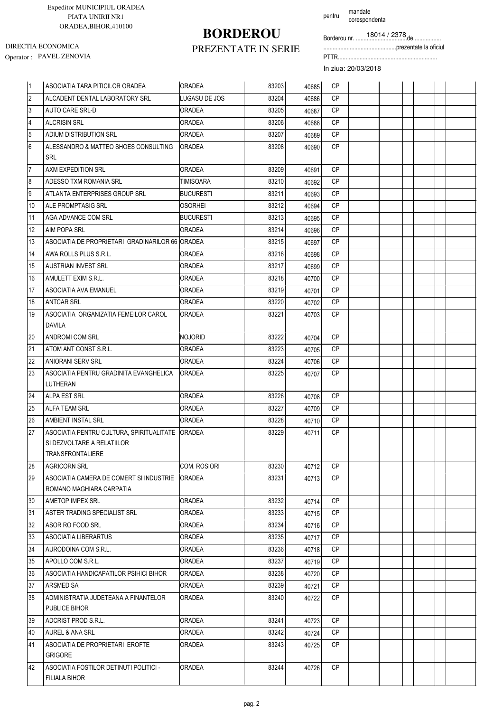# **BORDEROU**

pentru mandate corespondenta

Borderou nr. .................................de..................

...............................................prezentate la oficiul

Operator : PAVEL ZENOVIA PTTR................................................................ DIRECTIA ECONOMICA

### PREZENTATE IN SERIE

| 11             | ASOCIATIA TARA PITICILOR ORADEA                                | <b>IORADEA</b>   | 83203 | 40685 | <b>CP</b>       |  |  |  |
|----------------|----------------------------------------------------------------|------------------|-------|-------|-----------------|--|--|--|
| $\overline{2}$ | ALCADENT DENTAL LABORATORY SRL                                 | LUGASU DE JOS    | 83204 | 40686 | <b>CP</b>       |  |  |  |
| 3              | <b>AUTO CARE SRL-D</b>                                         | <b>ORADEA</b>    | 83205 | 40687 | <b>CP</b>       |  |  |  |
| $\overline{4}$ | <b>ALCRISIN SRL</b>                                            | <b>ORADEA</b>    | 83206 | 40688 | <b>CP</b>       |  |  |  |
| 5              | ADIUM DISTRIBUTION SRL                                         | <b>ORADEA</b>    | 83207 | 40689 | <b>CP</b>       |  |  |  |
| 6              | ALESSANDRO & MATTEO SHOES CONSULTING                           | <b>ORADEA</b>    | 83208 | 40690 | <b>CP</b>       |  |  |  |
|                | <b>SRL</b>                                                     |                  |       |       |                 |  |  |  |
| $\overline{7}$ | AXM EXPEDITION SRL                                             | <b>ORADEA</b>    | 83209 | 40691 | <b>CP</b>       |  |  |  |
| 8              | ADESSO TXM ROMANIA SRL                                         | TIMISOARA        | 83210 | 40692 | <b>CP</b>       |  |  |  |
| 9              | ATLANTA ENTERPRISES GROUP SRL                                  | <b>BUCURESTI</b> | 83211 | 40693 | <b>CP</b>       |  |  |  |
| 10             | ALE PROMPTASIG SRL                                             | <b>OSORHEI</b>   | 83212 | 40694 | <b>CP</b>       |  |  |  |
| 11             | AGA ADVANCE COM SRL                                            | <b>BUCURESTI</b> | 83213 | 40695 | <b>CP</b>       |  |  |  |
| 12             | <b>AIM POPA SRL</b>                                            | <b>ORADEA</b>    | 83214 | 40696 | <b>CP</b>       |  |  |  |
| 13             | ASOCIATIA DE PROPRIETARI GRADINARILOR 66 ORADEA                |                  | 83215 | 40697 | <b>CP</b>       |  |  |  |
| 14             | AWA ROLLS PLUS S.R.L.                                          | <b>ORADEA</b>    | 83216 | 40698 | <b>CP</b>       |  |  |  |
| 15             | <b>AUSTRIAN INVEST SRL</b>                                     | <b>ORADEA</b>    | 83217 | 40699 | <b>CP</b>       |  |  |  |
| 16             | AMULETT EXIM S.R.L.                                            | <b>ORADEA</b>    | 83218 | 40700 | <b>CP</b>       |  |  |  |
| 17             | ASOCIATIA AVA EMANUEL                                          | <b>ORADEA</b>    | 83219 | 40701 | <b>CP</b>       |  |  |  |
| 18             | <b>ANTCAR SRL</b>                                              | <b>ORADEA</b>    | 83220 | 40702 | <b>CP</b>       |  |  |  |
| 19             | ASOCIATIA ORGANIZATIA FEMEILOR CAROL<br>DAVILA                 | <b>ORADEA</b>    | 83221 | 40703 | <b>CP</b>       |  |  |  |
| 20             | ANDROMI COM SRL                                                | NOJORID          | 83222 | 40704 | <b>CP</b>       |  |  |  |
| 21             | ATOM ANT CONST S.R.L.                                          | <b>ORADEA</b>    | 83223 | 40705 | <b>CP</b>       |  |  |  |
| 22             | <b>ANIORANI SERV SRL</b>                                       | <b>ORADEA</b>    | 83224 | 40706 | <b>CP</b>       |  |  |  |
| 23             | ASOCIATIA PENTRU GRADINITA EVANGHELICA                         | <b>JORADEA</b>   | 83225 | 40707 | <b>CP</b>       |  |  |  |
|                | <b>LUTHERAN</b>                                                |                  |       |       |                 |  |  |  |
| 24             | ALPA EST SRL                                                   | <b>ORADEA</b>    | 83226 | 40708 | <b>CP</b>       |  |  |  |
| 25             | <b>ALFA TEAM SRL</b>                                           | <b>ORADEA</b>    | 83227 | 40709 | <b>CP</b>       |  |  |  |
| 26             | AMBIENT INSTAL SRL                                             | ORADEA           | 83228 | 40710 | <b>CP</b>       |  |  |  |
| 27             | ASOCIATIA PENTRU CULTURA. SPIRITUALITATE                       | <b>IORADEA</b>   | 83229 | 40711 | CP              |  |  |  |
|                | SI DEZVOLTARE A RELATIILOR                                     |                  |       |       |                 |  |  |  |
|                | TRANSFRONTALIERE                                               |                  |       |       |                 |  |  |  |
| 28             | <b>AGRICORN SRL</b>                                            | COM. ROSIORI     | 83230 | 40712 | <b>CP</b>       |  |  |  |
| 29             | ASOCIATIA CAMERA DE COMERT SI INDUSTRIE                        | <b>ORADEA</b>    | 83231 | 40713 | CP.             |  |  |  |
|                | ROMANO MAGHIARA CARPATIA                                       |                  |       |       |                 |  |  |  |
| 30             | AMETOP IMPEX SRL                                               | <b>ORADEA</b>    | 83232 | 40714 | CP              |  |  |  |
| 31             | ASTER TRADING SPECIALIST SRL                                   | ORADEA           | 83233 | 40715 | CP              |  |  |  |
| 32             | ASOR RO FOOD SRL                                               | ORADEA           | 83234 | 40716 | CP<br><b>CP</b> |  |  |  |
| 33             | ASOCIATIA LIBERARTUS                                           | <b>ORADEA</b>    | 83235 | 40717 | CP              |  |  |  |
| 34             | AURODOINA COM S.R.L.<br>APOLLO COM S.R.L.                      | ORADEA           | 83236 | 40718 | <b>CP</b>       |  |  |  |
| 35             |                                                                | <b>ORADEA</b>    | 83237 | 40719 |                 |  |  |  |
| 36             | ASOCIATIA HANDICAPATILOR PSIHICI BIHOR                         | <b>ORADEA</b>    | 83238 | 40720 | CP              |  |  |  |
| 37             | ARSMED SA                                                      | <b>ORADEA</b>    | 83239 | 40721 | CP              |  |  |  |
| 38             | ADMINISTRATIA JUDETEANA A FINANTELOR<br>PUBLICE BIHOR          | ORADEA           | 83240 | 40722 | CP              |  |  |  |
| 39             | ADCRIST PROD S.R.L.                                            | <b>ORADEA</b>    | 83241 | 40723 | <b>CP</b>       |  |  |  |
| 40             | AUREL & ANA SRL                                                | <b>ORADEA</b>    | 83242 | 40724 | CP              |  |  |  |
| 41             | ASOCIATIA DE PROPRIETARI EROFTE<br><b>GRIGORE</b>              | <b>ORADEA</b>    | 83243 | 40725 | CP              |  |  |  |
| 42             | ASOCIATIA FOSTILOR DETINUTI POLITICI -<br><b>FILIALA BIHOR</b> | <b>ORADEA</b>    | 83244 | 40726 | CP              |  |  |  |
|                |                                                                |                  |       |       |                 |  |  |  |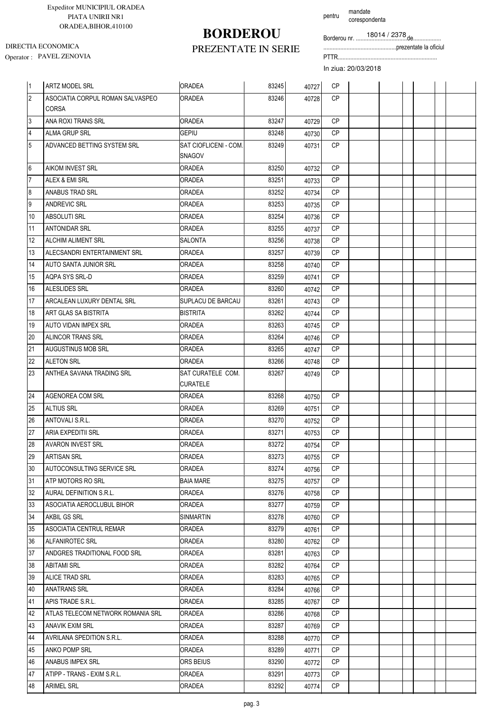# **BORDEROU**

pentru mandate corespondenta

Borderou nr. .................................de..................

...............................................prezentate la oficiul

Operator : PAVEL ZENOVIA PTTR................................................................ DIRECTIA ECONOMICA

### PREZENTATE IN SERIE

| 1                       | <b>ARTZ MODEL SRL</b>             | <b>ORADEA</b>                          | 83245 | 40727 | <b>CP</b> |  |  |  |
|-------------------------|-----------------------------------|----------------------------------------|-------|-------|-----------|--|--|--|
| $\overline{2}$          | ASOCIATIA CORPUL ROMAN SALVASPEO  | <b>ORADEA</b>                          | 83246 | 40728 | <b>CP</b> |  |  |  |
|                         | CORSA                             |                                        |       |       |           |  |  |  |
| 3                       | ANA ROXI TRANS SRL                | <b>ORADEA</b>                          | 83247 | 40729 | <b>CP</b> |  |  |  |
| $\overline{\mathbf{4}}$ | <b>ALMA GRUP SRL</b>              | <b>GEPIU</b>                           | 83248 | 40730 | <b>CP</b> |  |  |  |
| 5                       | ADVANCED BETTING SYSTEM SRL       | SAT CIOFLICENI - COM.<br><b>SNAGOV</b> | 83249 | 40731 | <b>CP</b> |  |  |  |
| 6                       | <b>AIKOM INVEST SRL</b>           | ORADEA                                 | 83250 | 40732 | <b>CP</b> |  |  |  |
| 7                       | ALEX & EMI SRL                    | ORADEA                                 | 83251 | 40733 | <b>CP</b> |  |  |  |
| 8                       | ANABUS TRAD SRL                   | <b>ORADEA</b>                          | 83252 | 40734 | <b>CP</b> |  |  |  |
| 9                       | <b>ANDREVIC SRL</b>               | ORADEA                                 | 83253 | 40735 | <b>CP</b> |  |  |  |
| 10                      | ABSOLUTI SRL                      | <b>ORADEA</b>                          | 83254 | 40736 | <b>CP</b> |  |  |  |
| 11                      | <b>ANTONIDAR SRL</b>              | ORADEA                                 | 83255 | 40737 | <b>CP</b> |  |  |  |
| 12                      | ALCHIM ALIMENT SRL                | SALONTA                                | 83256 | 40738 | <b>CP</b> |  |  |  |
| 13                      | ALECSANDRI ENTERTAINMENT SRL      | <b>ORADEA</b>                          | 83257 | 40739 | <b>CP</b> |  |  |  |
| 14                      | AUTO SANTA JUNIOR SRL             | ORADEA                                 | 83258 | 40740 | <b>CP</b> |  |  |  |
| 15                      | AQPA SYS SRL-D                    | <b>ORADEA</b>                          | 83259 | 40741 | <b>CP</b> |  |  |  |
| 16                      | ALESLIDES SRL                     | <b>ORADEA</b>                          | 83260 | 40742 | <b>CP</b> |  |  |  |
| 17                      | ARCALEAN LUXURY DENTAL SRL        | <b>SUPLACU DE BARCAU</b>               | 83261 | 40743 | <b>CP</b> |  |  |  |
| 18                      | ART GLAS SA BISTRITA              | <b>BISTRITA</b>                        | 83262 | 40744 | <b>CP</b> |  |  |  |
| 19                      | AUTO VIDAN IMPEX SRL              | ORADEA                                 | 83263 | 40745 | <b>CP</b> |  |  |  |
| 20                      | ALINCOR TRANS SRL                 | ORADEA                                 | 83264 | 40746 | <b>CP</b> |  |  |  |
| 21                      | AUGUSTINUS MOB SRL                | ORADEA                                 | 83265 | 40747 | <b>CP</b> |  |  |  |
| 22                      | <b>ALETON SRL</b>                 | ORADEA                                 | 83266 | 40748 | <b>CP</b> |  |  |  |
| 23                      | ANTHEA SAVANA TRADING SRL         | SAT CURATELE COM.                      | 83267 | 40749 | <b>CP</b> |  |  |  |
|                         |                                   | <b>CURATELE</b>                        |       |       |           |  |  |  |
| 24                      | AGENOREA COM SRL                  | ORADEA                                 | 83268 | 40750 | <b>CP</b> |  |  |  |
| 25                      | <b>ALTIUS SRL</b>                 | ORADEA                                 | 83269 | 40751 | <b>CP</b> |  |  |  |
| 26                      | ANTOVALI S.R.L.                   | <b>ORADEA</b>                          | 83270 | 40752 | <b>CP</b> |  |  |  |
| 27                      | ARIA EXPEDITII SRL                | ORADEA                                 | 83271 | 40753 | <b>CP</b> |  |  |  |
| 28                      | <b>AVARON INVEST SRL</b>          | ORADEA                                 | 83272 | 40754 | <b>CP</b> |  |  |  |
| 29                      | ARTISAN SRL                       | ORADEA                                 | 83273 | 40755 | CP        |  |  |  |
| 30                      | AUTOCONSULTING SERVICE SRL        | ORADEA                                 | 83274 | 40756 | <b>CP</b> |  |  |  |
| 31                      | ATP MOTORS RO SRL                 | <b>BAIA MARE</b>                       | 83275 | 40757 | <b>CP</b> |  |  |  |
| 32                      | AURAL DEFINITION S.R.L.           | ORADEA                                 | 83276 | 40758 | <b>CP</b> |  |  |  |
| 33                      | ASOCIATIA AEROCLUBUL BIHOR        | <b>ORADEA</b>                          | 83277 | 40759 | <b>CP</b> |  |  |  |
| 34                      | AKBIL GS SRL                      | SINMARTIN                              | 83278 | 40760 | CP        |  |  |  |
| 35                      | ASOCIATIA CENTRUL REMAR           | ORADEA                                 | 83279 | 40761 | CP.       |  |  |  |
| 36                      | ALFANIROTEC SRL                   | ORADEA                                 | 83280 | 40762 | <b>CP</b> |  |  |  |
| 37                      | ANDGRES TRADITIONAL FOOD SRL      | <b>ORADEA</b>                          | 83281 | 40763 | CP        |  |  |  |
| 38                      | <b>ABITAMI SRL</b>                | ORADEA                                 | 83282 | 40764 | CP        |  |  |  |
| 39                      | ALICE TRAD SRL                    | <b>ORADEA</b>                          | 83283 | 40765 | CP        |  |  |  |
| 40                      | <b>ANATRANS SRL</b>               | ORADEA                                 | 83284 | 40766 | CP        |  |  |  |
| 41                      | APIS TRADE S.R.L.                 | ORADEA                                 | 83285 | 40767 | <b>CP</b> |  |  |  |
| 42                      | ATLAS TELECOM NETWORK ROMANIA SRL | <b>ORADEA</b>                          | 83286 | 40768 | CP        |  |  |  |
| 43                      | <b>ANAVIK EXIM SRL</b>            | ORADEA                                 | 83287 | 40769 | CP.       |  |  |  |
| 44                      | AVRILANA SPEDITION S.R.L.         | <b>ORADEA</b>                          | 83288 | 40770 | CP.       |  |  |  |
| 45                      | ANKO POMP SRL                     | ORADEA                                 | 83289 | 40771 | CP        |  |  |  |
| 46                      | ANABUS IMPEX SRL                  | ORS BEIUS                              | 83290 | 40772 | CP        |  |  |  |
| 47                      | ATIPP - TRANS - EXIM S.R.L.       | ORADEA                                 | 83291 | 40773 | <b>CP</b> |  |  |  |
| 48                      | <b>ARIMEL SRL</b>                 | ORADEA                                 | 83292 | 40774 | СP        |  |  |  |
|                         |                                   |                                        |       |       |           |  |  |  |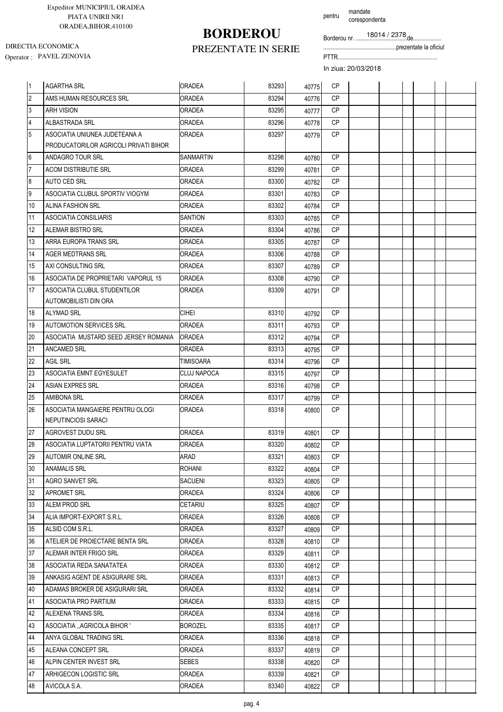# **BORDEROU**

pentru mandate corespondenta

Borderou nr. .................................de..................

...............................................prezentate la oficiul

Operator : PAVEL ZENOVIA PTTR................................................................ DIRECTIA ECONOMICA

### PREZENTATE IN SERIE

| 11               | <b>AGARTHA SRL</b>                                                     | <b>ORADEA</b>  | 83293 | 40775 | <b>CP</b> |  |  |  |
|------------------|------------------------------------------------------------------------|----------------|-------|-------|-----------|--|--|--|
| $\overline{2}$   | AMS HUMAN RESOURCES SRL                                                | <b>ORADEA</b>  | 83294 | 40776 | CP        |  |  |  |
| $\mathbf{3}$     | <b>ARH VISION</b>                                                      | <b>ORADEA</b>  | 83295 | 40777 | <b>CP</b> |  |  |  |
| $\overline{4}$   | <b>ALBASTRADA SRL</b>                                                  | <b>ORADEA</b>  | 83296 | 40778 | CP        |  |  |  |
| 5                | ASOCIATIA UNIUNEA JUDETEANA A<br>PRODUCATORILOR AGRICOLI PRIVATI BIHOR | ORADEA         | 83297 | 40779 | CP        |  |  |  |
| 6                | ANDAGRO TOUR SRL                                                       | SANMARTIN      | 83298 | 40780 | <b>CP</b> |  |  |  |
| $\overline{7}$   | <b>ACOM DISTRIBUTIE SRL</b>                                            | <b>ORADEA</b>  | 83299 | 40781 | <b>CP</b> |  |  |  |
| $\boldsymbol{8}$ | AUTO CED SRL                                                           | ORADEA         | 83300 | 40782 | <b>CP</b> |  |  |  |
| $\overline{9}$   | ASOCIATIA CLUBUL SPORTIV VIOGYM                                        | <b>ORADEA</b>  | 83301 | 40783 | CP        |  |  |  |
| 10               | <b>ALINA FASHION SRL</b>                                               | ORADEA         | 83302 | 40784 | <b>CP</b> |  |  |  |
| 11               | ASOCIATIA CONSILIARIS                                                  | <b>SANTION</b> | 83303 | 40785 | <b>CP</b> |  |  |  |
| 12               | ALEMAR BISTRO SRL                                                      | ORADEA         | 83304 | 40786 | <b>CP</b> |  |  |  |
| 13               | ARRA EUROPA TRANS SRL                                                  | <b>ORADEA</b>  | 83305 | 40787 | <b>CP</b> |  |  |  |
| 14               | AGER MEDTRANS SRL                                                      | ORADEA         | 83306 | 40788 | <b>CP</b> |  |  |  |
| 15               | AXI CONSULTING SRL                                                     | ORADEA         | 83307 | 40789 | <b>CP</b> |  |  |  |
| 16               | ASOCIATIA DE PROPRIETARI VAPORUL 15                                    | ORADEA         | 83308 | 40790 | <b>CP</b> |  |  |  |
| 17               | ASOCIATIA CLUBUL STUDENTILOR                                           | ORADEA         | 83309 | 40791 | <b>CP</b> |  |  |  |
|                  | AUTOMOBILISTI DIN ORA                                                  |                |       |       |           |  |  |  |
| 18               | <b>ALYMAD SRL</b>                                                      | <b>CIHEI</b>   | 83310 | 40792 | CP        |  |  |  |
| 19               | <b>AUTOMOTION SERVICES SRL</b>                                         | <b>ORADEA</b>  | 83311 | 40793 | <b>CP</b> |  |  |  |
| 20               | ASOCIATIA MUSTARD SEED JERSEY ROMANIA                                  | <b>ORADEA</b>  | 83312 | 40794 | <b>CP</b> |  |  |  |
| 21               | <b>ANCAMED SRL</b>                                                     | <b>ORADEA</b>  | 83313 | 40795 | <b>CP</b> |  |  |  |
| 22               | <b>AGIL SRL</b>                                                        | TIMISOARA      | 83314 | 40796 | <b>CP</b> |  |  |  |
| 23               | ASOCIATIA EMNT EGYESULET                                               | CLUJ NAPOCA    | 83315 | 40797 | <b>CP</b> |  |  |  |
| 24               | <b>ASIAN EXPRES SRL</b>                                                | ORADEA         | 83316 | 40798 | <b>CP</b> |  |  |  |
| 25               | <b>AMIBONA SRL</b>                                                     | ORADEA         | 83317 | 40799 | CP        |  |  |  |
| 26               | ASOCIATIA MANGAIERE PENTRU OLOGI                                       | ORADEA         | 83318 | 40800 | <b>CP</b> |  |  |  |
|                  | NEPUTINCIOSI SARACI                                                    |                |       |       |           |  |  |  |
| 27               | AGROVEST DUDU SRL                                                      | <b>ORADEA</b>  | 83319 | 40801 | <b>CP</b> |  |  |  |
| 28               | ASOCIATIA LUPTATORII PENTRU VIATA                                      | ORADEA         | 83320 | 40802 | <b>CP</b> |  |  |  |
| 29               | <b>AUTOMIR ONLINE SRL</b>                                              | ARAD           | 83321 | 40803 | CP        |  |  |  |
| 30               | ANAMALIS SRL                                                           | <b>ROHANI</b>  | 83322 | 40804 | CP        |  |  |  |
| 31               | AGRO SANVET SRL                                                        | <b>SACUENI</b> | 83323 | 40805 | СP        |  |  |  |
| 32               | <b>APROMET SRL</b>                                                     | <b>ORADEA</b>  | 83324 | 40806 | CP        |  |  |  |
| 33               | ALEM PROD SRL                                                          | CETARIU        | 83325 | 40807 | CP        |  |  |  |
| 34               | ALIA IMPORT-EXPORT S.R.L.                                              | ORADEA         | 83326 | 40808 | <b>CP</b> |  |  |  |
| 35               | ALSID COM S.R.L.                                                       | ORADEA         | 83327 | 40809 | CP.       |  |  |  |
| 36               | ATELIER DE PROIECTARE BENTA SRL                                        | ORADEA         | 83328 | 40810 | CP        |  |  |  |
| 37               | ALEMAR INTER FRIGO SRL                                                 | <b>ORADEA</b>  | 83329 | 40811 | СP        |  |  |  |
| 38               | ASOCIATIA REDA SANATATEA                                               | ORADEA         | 83330 | 40812 | CP        |  |  |  |
| 39               | ANKASIG AGENT DE ASIGURARE SRL                                         | ORADEA         | 83331 | 40813 | CP        |  |  |  |
| 40               | ADAMAS BROKER DE ASIGURARI SRL                                         | <b>ORADEA</b>  | 83332 | 40814 | CP        |  |  |  |
| 41               | ASOCIATIA PRO PARTIUM                                                  | ORADEA         | 83333 | 40815 | СP        |  |  |  |
| 42               | <b>ALEXENA TRANS SRL</b>                                               | <b>ORADEA</b>  | 83334 | 40816 | CP        |  |  |  |
| 43               | ASOCIATIA "AGRICOLA BIHOR "                                            | BOROZEL        | 83335 | 40817 | CP        |  |  |  |
| 44               | ANYA GLOBAL TRADING SRL                                                | ORADEA         | 83336 | 40818 | СP        |  |  |  |
| 45               | <b>ALEANA CONCEPT SRL</b>                                              | ORADEA         | 83337 | 40819 | CP.       |  |  |  |
| 46               | ALPIN CENTER INVEST SRL                                                | <b>SEBES</b>   | 83338 | 40820 | СP        |  |  |  |
| 47               | ARHIGECON LOGISTIC SRL                                                 | ORADEA         | 83339 | 40821 | СP        |  |  |  |
| 48               | AVICOLA S.A.                                                           | ORADEA         | 83340 | 40822 | СP        |  |  |  |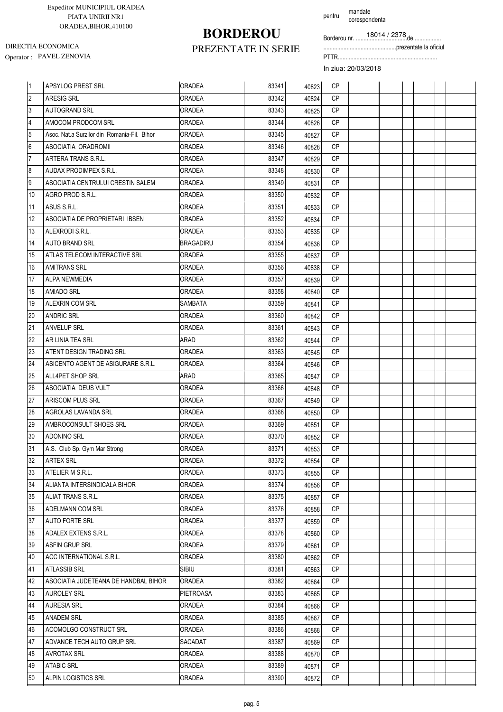### PREZENTATE IN SERIE **BORDEROU**

pentru mandate corespondenta

Borderou nr. .................................de..................

...............................................prezentate la oficiul

Operator : PAVEL ZENOVIA PTTR................................................................ DIRECTIA ECONOMICA

| <sup>1</sup>   | APSYLOG PREST SRL                           | <b>ORADEA</b>    | 83341 | 40823 | <b>CP</b> |  |  |  |
|----------------|---------------------------------------------|------------------|-------|-------|-----------|--|--|--|
| $\overline{2}$ | ARESIG SRL                                  | <b>ORADEA</b>    | 83342 | 40824 | CP        |  |  |  |
| $\overline{3}$ | <b>AUTOGRAND SRL</b>                        | <b>ORADEA</b>    | 83343 | 40825 | <b>CP</b> |  |  |  |
| $\overline{4}$ | AMOCOM PRODCOM SRL                          | ORADEA           | 83344 | 40826 | CP        |  |  |  |
| 5              | Asoc. Nat.a Surzilor din Romania-Fil. Bihor | ORADEA           | 83345 | 40827 | <b>CP</b> |  |  |  |
| $\overline{6}$ | ASOCIATIA ORADROMII                         | ORADEA           | 83346 | 40828 | <b>CP</b> |  |  |  |
| $\overline{7}$ | ARTERA TRANS S.R.L.                         | ORADEA           | 83347 | 40829 | <b>CP</b> |  |  |  |
| $\overline{8}$ | AUDAX PRODIMPEX S.R.L.                      | <b>ORADEA</b>    | 83348 | 40830 | <b>CP</b> |  |  |  |
| $\overline{9}$ | ASOCIATIA CENTRULUI CRESTIN SALEM           | ORADEA           | 83349 | 40831 | <b>CP</b> |  |  |  |
| 10             | AGRO PROD S.R.L.                            | <b>ORADEA</b>    | 83350 | 40832 | <b>CP</b> |  |  |  |
| 11             | ASUS S.R.L.                                 | ORADEA           | 83351 | 40833 | <b>CP</b> |  |  |  |
| 12             | ASOCIATIA DE PROPRIETARI IBSEN              | <b>ORADEA</b>    | 83352 | 40834 | <b>CP</b> |  |  |  |
| 13             | ALEXRODI S.R.L.                             | ORADEA           | 83353 | 40835 | <b>CP</b> |  |  |  |
| 14             | <b>AUTO BRAND SRL</b>                       | <b>BRAGADIRU</b> | 83354 | 40836 | <b>CP</b> |  |  |  |
| 15             | ATLAS TELECOM INTERACTIVE SRL               | ORADEA           | 83355 | 40837 | <b>CP</b> |  |  |  |
| 16             | <b>AMITRANS SRL</b>                         | <b>ORADEA</b>    | 83356 | 40838 | <b>CP</b> |  |  |  |
| 17             | ALPA NEWMEDIA                               | ORADEA           | 83357 | 40839 | <b>CP</b> |  |  |  |
| 18             | <b>AMIADO SRL</b>                           | ORADEA           | 83358 | 40840 | <b>CP</b> |  |  |  |
| 19             | ALEXRIN COM SRL                             | SAMBATA          | 83359 | 40841 | <b>CP</b> |  |  |  |
| 20             | <b>ANDRIC SRL</b>                           | ORADEA           | 83360 | 40842 | <b>CP</b> |  |  |  |
| 21             | <b>ANVELUP SRL</b>                          | ORADEA           | 83361 | 40843 | <b>CP</b> |  |  |  |
| 22             | AR LINIA TEA SRL                            | ARAD             | 83362 | 40844 | <b>CP</b> |  |  |  |
| 23             | ATENT DESIGN TRADING SRL                    | <b>ORADEA</b>    | 83363 | 40845 | <b>CP</b> |  |  |  |
| 24             | ASICENTO AGENT DE ASIGURARE S.R.L.          | <b>ORADEA</b>    | 83364 | 40846 | <b>CP</b> |  |  |  |
| 25             | ALL4PET SHOP SRL                            | ARAD             | 83365 | 40847 | CP        |  |  |  |
| 26             | ASOCIATIA DEUS VULT                         | ORADEA           | 83366 | 40848 | <b>CP</b> |  |  |  |
| 27             | <b>ARISCOM PLUS SRL</b>                     | ORADEA           | 83367 | 40849 | <b>CP</b> |  |  |  |
| 28             | AGROLAS LAVANDA SRL                         | ORADEA           | 83368 | 40850 | <b>CP</b> |  |  |  |
| 29             | AMBROCONSULT SHOES SRL                      | <b>ORADEA</b>    | 83369 | 40851 | <b>CP</b> |  |  |  |
| 30             | <b>ADONINO SRL</b>                          | ORADEA           | 83370 | 40852 | <b>CP</b> |  |  |  |
| 31             | A.S. Club Sp. Gym Mar Strong                | <b>ORADEA</b>    | 83371 | 40853 | <b>CP</b> |  |  |  |
| 32             | <b>ARTEX SRL</b>                            | <b>ORADEA</b>    | 83372 | 40854 | СP        |  |  |  |
| 33             | ATELIER M S.R.L.                            | <b>ORADEA</b>    | 83373 | 40855 | <b>CP</b> |  |  |  |
| 34             | ALIANTA INTERSINDICALA BIHOR                | <b>ORADEA</b>    | 83374 | 40856 | CP        |  |  |  |
| 35             | ALIAT TRANS S.R.L.                          | ORADEA           | 83375 | 40857 | CP        |  |  |  |
| 36             | ADELMANN COM SRL                            | ORADEA           | 83376 | 40858 | <b>CP</b> |  |  |  |
| 37             | <b>AUTO FORTE SRL</b>                       | <b>ORADEA</b>    | 83377 | 40859 | <b>CP</b> |  |  |  |
| 38             | ADALEX EXTENS S.R.L.                        | ORADEA           | 83378 | 40860 | CP        |  |  |  |
| 39             | ASFIN GRUP SRL                              | <b>ORADEA</b>    | 83379 | 40861 | CP        |  |  |  |
| 40             | ACC INTERNATIONAL S.R.L.                    | ORADEA           | 83380 | 40862 | CP        |  |  |  |
| 41             | <b>ATLASSIB SRL</b>                         | <b>SIBIU</b>     | 83381 | 40863 | CP        |  |  |  |
| 42             | ASOCIATIA JUDETEANA DE HANDBAL BIHOR        | <b>ORADEA</b>    | 83382 | 40864 | CP        |  |  |  |
| 43             | <b>AUROLEY SRL</b>                          | <b>PIETROASA</b> | 83383 | 40865 | <b>CP</b> |  |  |  |
| 44             | <b>AURESIA SRL</b>                          | ORADEA           | 83384 | 40866 | <b>CP</b> |  |  |  |
| 45             | ANADEM SRL                                  | <b>ORADEA</b>    | 83385 | 40867 | СP        |  |  |  |
| 46             | ACOMOLGO CONSTRUCT SRL                      | ORADEA           | 83386 | 40868 | <b>CP</b> |  |  |  |
| 47             | ADVANCE TECH AUTO GRUP SRL                  | SACADAT          | 83387 | 40869 | <b>CP</b> |  |  |  |
| 48             | <b>AVROTAX SRL</b>                          | ORADEA           | 83388 | 40870 | <b>CP</b> |  |  |  |
| 49             | <b>ATABIC SRL</b>                           | ORADEA           | 83389 | 40871 | <b>CP</b> |  |  |  |
| 50             | ALPIN LOGISTICS SRL                         | ORADEA           | 83390 | 40872 | CP        |  |  |  |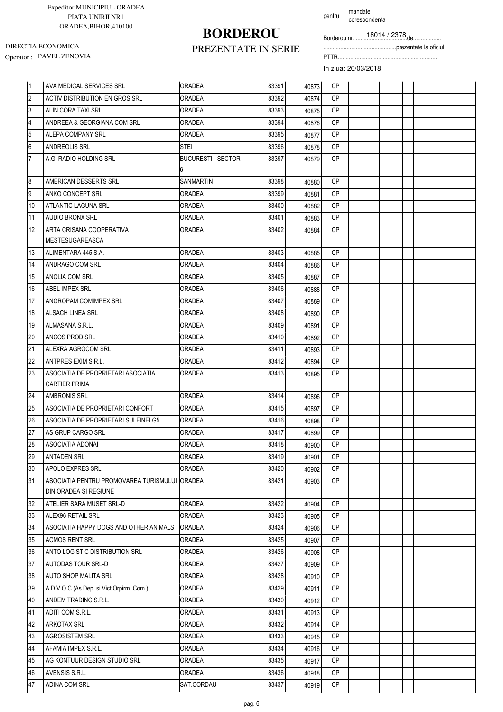# **BORDEROU**

pentru mandate corespondenta

Borderou nr. .................................de..................

...............................................prezentate la oficiul

Operator : PAVEL ZENOVIA PTTR................................................................ DIRECTIA ECONOMICA

### PREZENTATE IN SERIE

| 11              | AVA MEDICAL SERVICES SRL                      | <b>ORADEA</b>                  | 83391 | 40873 | <b>CP</b> |  |  |  |
|-----------------|-----------------------------------------------|--------------------------------|-------|-------|-----------|--|--|--|
| $\overline{2}$  | ACTIV DISTRIBUTION EN GROS SRL                | <b>ORADEA</b>                  | 83392 | 40874 | <b>CP</b> |  |  |  |
| 3               | ALIN CORA TAXI SRL                            | <b>ORADEA</b>                  | 83393 | 40875 | <b>CP</b> |  |  |  |
| 4               | ANDREEA & GEORGIANA COM SRL                   | ORADEA                         | 83394 | 40876 | <b>CP</b> |  |  |  |
| 5               | ALEPA COMPANY SRL                             | ORADEA                         | 83395 | 40877 | <b>CP</b> |  |  |  |
| 6               | ANDREOLIS SRL                                 | STEI                           | 83396 | 40878 | <b>CP</b> |  |  |  |
| $\overline{7}$  | A.G. RADIO HOLDING SRL                        | <b>BUCURESTI - SECTOR</b><br>6 | 83397 | 40879 | CP        |  |  |  |
| 8               | AMERICAN DESSERTS SRL                         | <b>SANMARTIN</b>               | 83398 | 40880 | <b>CP</b> |  |  |  |
| 9               | ANKO CONCEPT SRL                              | ORADEA                         | 83399 | 40881 | <b>CP</b> |  |  |  |
| 10 <sup>1</sup> | <b>ATLANTIC LAGUNA SRL</b>                    | ORADEA                         | 83400 | 40882 | <b>CP</b> |  |  |  |
| 11              | AUDIO BRONX SRL                               | ORADEA                         | 83401 | 40883 | <b>CP</b> |  |  |  |
| 12              | ARTA CRISANA COOPERATIVA                      | ORADEA                         | 83402 | 40884 | <b>CP</b> |  |  |  |
|                 | MESTESUGAREASCA                               |                                |       |       |           |  |  |  |
| 13              | ALIMENTARA 445 S.A.                           | <b>ORADEA</b>                  | 83403 | 40885 | <b>CP</b> |  |  |  |
| 14              | ANDRAGO COM SRL                               | ORADEA                         | 83404 | 40886 | <b>CP</b> |  |  |  |
| 15              | ANOLIA COM SRL                                | ORADEA                         | 83405 | 40887 | <b>CP</b> |  |  |  |
| 16              | ABEL IMPEX SRL                                | ORADEA                         | 83406 | 40888 | <b>CP</b> |  |  |  |
| 17              | ANGROPAM COMIMPEX SRL                         | ORADEA                         | 83407 | 40889 | <b>CP</b> |  |  |  |
| 18              | <b>ALSACH LINEA SRL</b>                       | ORADEA                         | 83408 | 40890 | <b>CP</b> |  |  |  |
| 19              | ALMASANA S.R.L.                               | ORADEA                         | 83409 | 40891 | <b>CP</b> |  |  |  |
| 20              | ANCOS PROD SRL                                | ORADEA                         | 83410 | 40892 | <b>CP</b> |  |  |  |
| 21              | ALEXRA AGROCOM SRL                            | ORADEA                         | 83411 | 40893 | <b>CP</b> |  |  |  |
| 22              | ANTPRES EXIM S.R.L.                           | ORADEA                         | 83412 | 40894 | <b>CP</b> |  |  |  |
| 23              | ASOCIATIA DE PROPRIETARI ASOCIATIA            | ORADEA                         | 83413 | 40895 | CP        |  |  |  |
|                 | <b>CARTIER PRIMA</b>                          |                                |       |       |           |  |  |  |
| 24              | <b>AMBRONIS SRL</b>                           | <b>ORADEA</b>                  | 83414 | 40896 | <b>CP</b> |  |  |  |
| 25              | ASOCIATIA DE PROPRIETARI CONFORT              | ORADEA                         | 83415 | 40897 | CP        |  |  |  |
| 26              | ASOCIATIA DE PROPRIETARI SULFINEI G5          | ORADEA                         | 83416 | 40898 | <b>CP</b> |  |  |  |
| 27              | AS GRUP CARGO SRL                             | ORADEA                         | 83417 | 40899 | CP        |  |  |  |
| 28              | ASOCIATIA ADONAI                              | ORADEA                         | 83418 | 40900 | CP        |  |  |  |
| 29              | ANTADEN SRL                                   | <b>ORADEA</b>                  | 83419 | 40901 | CP        |  |  |  |
| 30              | <b>APOLO EXPRES SRL</b>                       | ORADEA                         | 83420 | 40902 | <b>CP</b> |  |  |  |
| 31              | ASOCIATIA PENTRU PROMOVAREA TURISMULUI ORADEA |                                | 83421 | 40903 | <b>CP</b> |  |  |  |
|                 | DIN ORADEA SI REGIUNE                         |                                |       |       |           |  |  |  |
| 32              | ATELIER SARA MUSET SRL-D                      | <b>ORADEA</b>                  | 83422 | 40904 | <b>CP</b> |  |  |  |
| 33              | ALEX96 RETAIL SRL                             | ORADEA                         | 83423 | 40905 | CP        |  |  |  |
| 34              | ASOCIATIA HAPPY DOGS AND OTHER ANIMALS        | <b>ORADEA</b>                  | 83424 | 40906 | CP        |  |  |  |
| 35              | <b>ACMOS RENT SRL</b>                         | ORADEA                         | 83425 | 40907 | CP        |  |  |  |
| 36              | ANTO LOGISTIC DISTRIBUTION SRL                | ORADEA                         | 83426 | 40908 | <b>CP</b> |  |  |  |
| 37              | AUTODAS TOUR SRL-D                            | <b>ORADEA</b>                  | 83427 | 40909 | <b>CP</b> |  |  |  |
| 38              | AUTO SHOP MALITA SRL                          | ORADEA                         | 83428 | 40910 | <b>CP</b> |  |  |  |
| 39              | A.D.V.O.C. (As Dep. si Vict Orpirm. Com.)     | ORADEA                         | 83429 | 40911 | <b>CP</b> |  |  |  |
| 40              | ANDEM TRADING S.R.L.                          | <b>ORADEA</b>                  | 83430 | 40912 | CP        |  |  |  |
| 41              | ADITI COM S.R.L.                              | ORADEA                         | 83431 | 40913 | <b>CP</b> |  |  |  |
| 42              | ARKOTAX SRL                                   | ORADEA                         | 83432 | 40914 | <b>CP</b> |  |  |  |
| 43              | AGROSISTEM SRL                                | ORADEA                         | 83433 | 40915 | <b>CP</b> |  |  |  |
| 44              | AFAMIA IMPEX S.R.L.                           | ORADEA                         | 83434 | 40916 | <b>CP</b> |  |  |  |
| 45              | AG KONTUUR DESIGN STUDIO SRL                  | <b>ORADEA</b>                  | 83435 | 40917 | <b>CP</b> |  |  |  |
| 46              | AVENSIS S.R.L.                                | ORADEA                         | 83436 | 40918 | CP        |  |  |  |
| 47              | ADINA COM SRL                                 | SAT.CORDAU                     | 83437 | 40919 | CP        |  |  |  |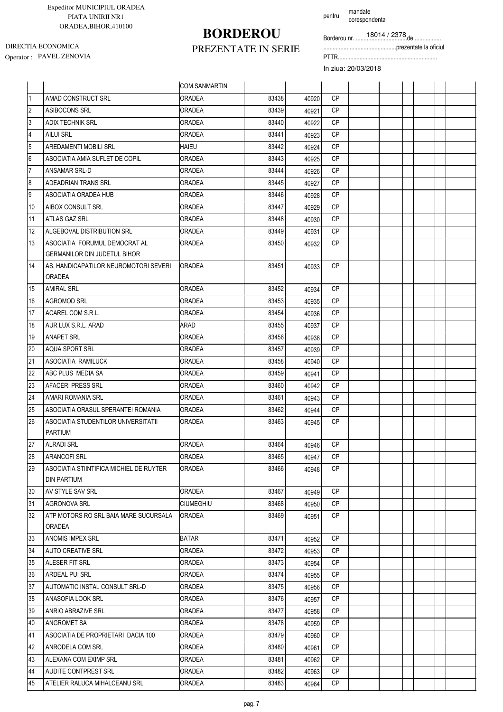# **BORDEROU**

pentru mandate corespondenta

Borderou nr. .................................de..................

...............................................prezentate la oficiul

Operator : PAVEL ZENOVIA PTTR................................................................ DIRECTIA ECONOMICA

### PREZENTATE IN SERIE

|                         |                                                        | COM.SANMARTIN    |       |       |           |  |  |  |
|-------------------------|--------------------------------------------------------|------------------|-------|-------|-----------|--|--|--|
| $\overline{1}$          | AMAD CONSTRUCT SRL                                     | <b>ORADEA</b>    | 83438 | 40920 | <b>CP</b> |  |  |  |
| $\overline{c}$          | ASIBOCONS SRL                                          | <b>ORADEA</b>    | 83439 | 40921 | <b>CP</b> |  |  |  |
| $\overline{3}$          | <b>ADIX TECHNIK SRL</b>                                | <b>ORADEA</b>    | 83440 | 40922 | <b>CP</b> |  |  |  |
| $\overline{\mathbf{4}}$ | AILUI SRL                                              | ORADEA           | 83441 | 40923 | <b>CP</b> |  |  |  |
| 5                       | AREDAMENTI MOBILI SRL                                  | HAIEU            | 83442 | 40924 | <b>CP</b> |  |  |  |
| $\boldsymbol{6}$        | ASOCIATIA AMIA SUFLET DE COPIL                         | <b>ORADEA</b>    | 83443 | 40925 | <b>CP</b> |  |  |  |
| $\overline{7}$          | ANSAMAR SRL-D                                          | ORADEA           | 83444 | 40926 | <b>CP</b> |  |  |  |
| 8                       | <b>ADEADRIAN TRANS SRL</b>                             | <b>ORADEA</b>    | 83445 | 40927 | <b>CP</b> |  |  |  |
| 9                       | ASOCIATIA ORADEA HUB                                   | <b>ORADEA</b>    | 83446 | 40928 | СP        |  |  |  |
| 10                      | AIBOX CONSULT SRL                                      | ORADEA           | 83447 | 40929 | СP        |  |  |  |
| 11                      | ATLAS GAZ SRL                                          | ORADEA           | 83448 | 40930 | <b>CP</b> |  |  |  |
| 12                      | ALGEBOVAL DISTRIBUTION SRL                             | <b>ORADEA</b>    | 83449 | 40931 | <b>CP</b> |  |  |  |
| 13                      | ASOCIATIA FORUMUL DEMOCRAT AL                          | <b>ORADEA</b>    | 83450 | 40932 | СP        |  |  |  |
|                         | <b>GERMANILOR DIN JUDETUL BIHOR</b>                    |                  |       |       |           |  |  |  |
| 14                      | AS. HANDICAPATILOR NEUROMOTORI SEVERI<br>ORADEA        | <b>ORADEA</b>    | 83451 | 40933 | <b>CP</b> |  |  |  |
| 15                      | <b>AMIRAL SRL</b>                                      | <b>ORADEA</b>    | 83452 | 40934 | СP        |  |  |  |
| 16                      | <b>AGROMOD SRL</b>                                     | ORADEA           | 83453 | 40935 | <b>CP</b> |  |  |  |
| 17                      | ACAREL COM S.R.L.                                      | <b>ORADEA</b>    | 83454 | 40936 | <b>CP</b> |  |  |  |
| 18                      | AUR LUX S.R.L. ARAD                                    | ARAD             | 83455 | 40937 | <b>CP</b> |  |  |  |
| 19                      | <b>ANAPET SRL</b>                                      | <b>ORADEA</b>    | 83456 | 40938 | <b>CP</b> |  |  |  |
| 20                      | AQUA SPORT SRL                                         | ORADEA           | 83457 | 40939 | <b>CP</b> |  |  |  |
| 21                      | ASOCIATIA RAMILUCK                                     | <b>ORADEA</b>    | 83458 | 40940 | <b>CP</b> |  |  |  |
| 22                      | ABC PLUS MEDIA SA                                      | ORADEA           | 83459 | 40941 | <b>CP</b> |  |  |  |
| 23                      | <b>AFACERI PRESS SRL</b>                               | <b>ORADEA</b>    | 83460 | 40942 | <b>CP</b> |  |  |  |
| 24                      | AMARI ROMANIA SRL                                      | ORADEA           | 83461 | 40943 | <b>CP</b> |  |  |  |
| 25                      | ASOCIATIA ORASUL SPERANTEI ROMANIA                     | ORADEA           | 83462 | 40944 | <b>CP</b> |  |  |  |
| 26                      | ASOCIATIA STUDENTILOR UNIVERSITATII<br>PARTIUM         | <b>ORADEA</b>    | 83463 | 40945 | СP        |  |  |  |
| 27                      | <b>ALRADI SRL</b>                                      | ORADEA           | 83464 | 40946 | <b>CP</b> |  |  |  |
| 28                      | <b>ARANCOFI SRL</b>                                    | ORADEA           | 83465 | 40947 | CP        |  |  |  |
| 29                      | ASOCIATIA STIINTIFICA MICHIEL DE RUYTER<br>DIN PARTIUM | ORADEA           | 83466 | 40948 | <b>CP</b> |  |  |  |
| 30                      | AV STYLE SAV SRL                                       | <b>ORADEA</b>    | 83467 | 40949 | СP        |  |  |  |
| 31                      | AGRONOVA SRL                                           | <b>CIUMEGHIU</b> | 83468 | 40950 | CP        |  |  |  |
| 32                      | ATP MOTORS RO SRL BAIA MARE SUCURSALA<br>ORADEA        | <b>ORADEA</b>    | 83469 | 40951 | СP        |  |  |  |
| 33                      | ANOMIS IMPEX SRL                                       | <b>BATAR</b>     | 83471 | 40952 | <b>CP</b> |  |  |  |
| 34                      | <b>AUTO CREATIVE SRL</b>                               | ORADEA           | 83472 | 40953 | CP.       |  |  |  |
| 35                      | ALESER FIT SRL                                         | ORADEA           | 83473 | 40954 | СP        |  |  |  |
| 36                      | ARDEAL PUI SRL                                         | ORADEA           | 83474 | 40955 | СP        |  |  |  |
| 37                      | AUTOMATIC INSTAL CONSULT SRL-D                         | ORADEA           | 83475 | 40956 | CP.       |  |  |  |
| 38                      | ANASOFIA LOOK SRL                                      | <b>ORADEA</b>    | 83476 | 40957 | CP.       |  |  |  |
| 39                      | ANRIO ABRAZIVE SRL                                     | ORADEA           | 83477 | 40958 | CP.       |  |  |  |
| 40                      | ANGROMET SA                                            | <b>ORADEA</b>    | 83478 | 40959 | СP        |  |  |  |
| 41                      | ASOCIATIA DE PROPRIETARI DACIA 100                     | ORADEA           | 83479 | 40960 | CP.       |  |  |  |
| 42                      | ANRODELA COM SRL                                       | ORADEA           | 83480 | 40961 | CP.       |  |  |  |
| 43                      | ALEXANA COM EXIMP SRL                                  | ORADEA           | 83481 | 40962 | CP.       |  |  |  |
| 44                      | <b>AUDITE CONTPREST SRL</b>                            | <b>ORADEA</b>    | 83482 | 40963 | СP        |  |  |  |
| 45                      | ATELIER RALUCA MIHALCEANU SRL                          | ORADEA           | 83483 | 40964 | CP        |  |  |  |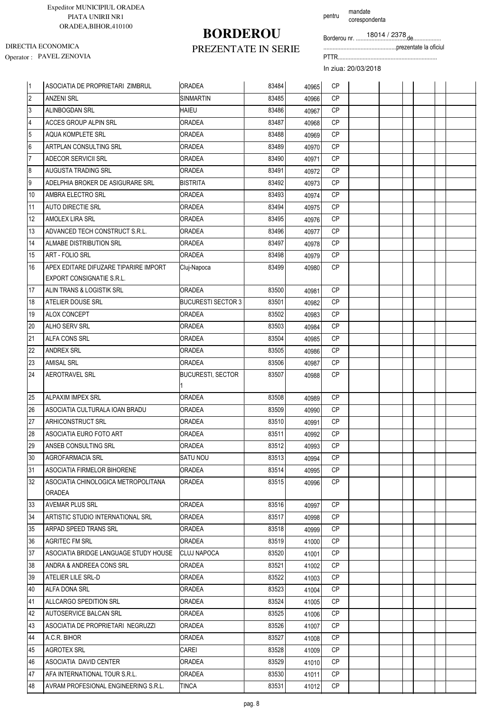# **BORDEROU**

pentru mandate corespondenta

Borderou nr. .................................de..................

...............................................prezentate la oficiul

Operator : PAVEL ZENOVIA PTTR................................................................ DIRECTIA ECONOMICA

### PREZENTATE IN SERIE

| 11               | ASOCIATIA DE PROPRIETARI ZIMBRUL      | <b>ORADEA</b>             | 83484 | 40965 | <b>CP</b> |  |  |  |
|------------------|---------------------------------------|---------------------------|-------|-------|-----------|--|--|--|
| $\overline{2}$   | <b>ANZENI SRL</b>                     | <b>SINMARTIN</b>          | 83485 | 40966 | <b>CP</b> |  |  |  |
| 3                | ALINBOGDAN SRL                        | <b>HAIEU</b>              | 83486 | 40967 | <b>CP</b> |  |  |  |
| $\overline{4}$   | <b>ACCES GROUP ALPIN SRL</b>          | <b>ORADEA</b>             | 83487 | 40968 | <b>CP</b> |  |  |  |
| 5                | AQUA KOMPLETE SRL                     | <b>ORADEA</b>             | 83488 | 40969 | <b>CP</b> |  |  |  |
| 6                | ARTPLAN CONSULTING SRL                | <b>ORADEA</b>             | 83489 | 40970 | <b>CP</b> |  |  |  |
| $\overline{7}$   | ADECOR SERVICII SRL                   | <b>ORADEA</b>             | 83490 | 40971 | <b>CP</b> |  |  |  |
| $\boldsymbol{8}$ | AUGUSTA TRADING SRL                   | <b>ORADEA</b>             | 83491 | 40972 | <b>CP</b> |  |  |  |
| 9                | ADELPHIA BROKER DE ASIGURARE SRL      | <b>BISTRITA</b>           | 83492 | 40973 | <b>CP</b> |  |  |  |
| 10               | AMBRA ELECTRO SRL                     | <b>ORADEA</b>             | 83493 | 40974 | <b>CP</b> |  |  |  |
| 11               | <b>AUTO DIRECTIE SRL</b>              | <b>ORADEA</b>             | 83494 | 40975 | <b>CP</b> |  |  |  |
| 12               | AMOLEX LIRA SRL                       | <b>ORADEA</b>             | 83495 | 40976 | <b>CP</b> |  |  |  |
| 13               | ADVANCED TECH CONSTRUCT S.R.L.        | <b>ORADEA</b>             | 83496 | 40977 | <b>CP</b> |  |  |  |
| 14               | ALMABE DISTRIBUTION SRL               | <b>ORADEA</b>             | 83497 | 40978 | <b>CP</b> |  |  |  |
| 15               | ART - FOLIO SRL                       | <b>ORADEA</b>             | 83498 | 40979 | <b>CP</b> |  |  |  |
| 16               | APEX EDITARE DIFUZARE TIPARIRE IMPORT | Cluj-Napoca               | 83499 | 40980 | <b>CP</b> |  |  |  |
|                  | EXPORT CONSIGNATIE S.R.L.             |                           |       |       |           |  |  |  |
| 17               | ALIN TRANS & LOGISTIK SRL             | <b>ORADEA</b>             | 83500 | 40981 | <b>CP</b> |  |  |  |
| 18               | ATELIER DOUSE SRL                     | <b>BUCURESTI SECTOR 3</b> | 83501 | 40982 | <b>CP</b> |  |  |  |
| 19               | ALOX CONCEPT                          | <b>ORADEA</b>             | 83502 | 40983 | <b>CP</b> |  |  |  |
| 20               | ALHO SERV SRL                         | <b>ORADEA</b>             | 83503 | 40984 | <b>CP</b> |  |  |  |
| 21               | ALFA CONS SRL                         | <b>ORADEA</b>             | 83504 | 40985 | <b>CP</b> |  |  |  |
| 22               | <b>ANDREX SRL</b>                     | <b>ORADEA</b>             | 83505 | 40986 | <b>CP</b> |  |  |  |
| 23               | <b>AMISAL SRL</b>                     | <b>ORADEA</b>             | 83506 | 40987 | <b>CP</b> |  |  |  |
| 24               | <b>AEROTRAVEL SRL</b>                 | <b>BUCURESTI, SECTOR</b>  | 83507 | 40988 | CP        |  |  |  |
|                  |                                       |                           |       |       |           |  |  |  |
| 25               | <b>ALPAXIM IMPEX SRL</b>              | <b>ORADEA</b>             | 83508 | 40989 | <b>CP</b> |  |  |  |
| 26               | ASOCIATIA CULTURALA IOAN BRADU        | <b>ORADEA</b>             | 83509 | 40990 | <b>CP</b> |  |  |  |
| 27               | ARHICONSTRUCT SRL                     | <b>ORADEA</b>             | 83510 | 40991 | <b>CP</b> |  |  |  |
| 28               | ASOCIATIA EURO FOTO ART               | <b>ORADEA</b>             | 83511 | 40992 | <b>CP</b> |  |  |  |
| 29               | ANSEB CONSULTING SRL                  | <b>ORADEA</b>             | 83512 | 40993 | CP        |  |  |  |
| 30               | <b>AGROFARMACIA SRL</b>               | SATU NOU                  | 83513 | 40994 | CP.       |  |  |  |
| 31               | ASOCIATIA FIRMELOR BIHORENE           | <b>ORADEA</b>             | 83514 | 40995 | СP        |  |  |  |
| 32               | ASOCIATIA CHINOLOGICA METROPOLITANA   | ORADEA                    | 83515 | 40996 | CP        |  |  |  |
|                  | <b>ORADEA</b>                         |                           |       |       |           |  |  |  |
| 33               | <b>AVEMAR PLUS SRL</b>                | <b>ORADEA</b>             | 83516 | 40997 | <b>CP</b> |  |  |  |
| 34               | ARTISTIC STUDIO INTERNATIONAL SRL     | <b>ORADEA</b>             | 83517 | 40998 | CP        |  |  |  |
| 35               | ARPAD SPEED TRANS SRL                 | <b>ORADEA</b>             | 83518 | 40999 | CP.       |  |  |  |
| 36               | <b>AGRITEC FM SRL</b>                 | <b>ORADEA</b>             | 83519 | 41000 | CP        |  |  |  |
| 37               | ASOCIATIA BRIDGE LANGUAGE STUDY HOUSE | <b>CLUJ NAPOCA</b>        | 83520 | 41001 | <b>CP</b> |  |  |  |
| 38               | ANDRA & ANDREEA CONS SRL              | <b>ORADEA</b>             | 83521 | 41002 | СP        |  |  |  |
| 39               | ATELIER LILE SRL-D                    | <b>ORADEA</b>             | 83522 | 41003 | CP        |  |  |  |
| 40               | ALFA DONA SRL                         | <b>ORADEA</b>             | 83523 | 41004 | CP.       |  |  |  |
| 41               | ALLCARGO SPEDITION SRL                | <b>ORADEA</b>             | 83524 | 41005 | <b>CP</b> |  |  |  |
| 42               | AUTOSERVICE BALCAN SRL                | <b>ORADEA</b>             | 83525 | 41006 | CP.       |  |  |  |
| 43               | ASOCIATIA DE PROPRIETARI NEGRUZZI     | ORADEA                    | 83526 | 41007 | CP.       |  |  |  |
| 44               | A.C.R. BIHOR                          | ORADEA                    | 83527 | 41008 | CP.       |  |  |  |
| 45               | <b>AGROTEX SRL</b>                    | CAREI                     | 83528 | 41009 | CP.       |  |  |  |
| 46               | ASOCIATIA DAVID CENTER                | ORADEA                    | 83529 | 41010 | СP        |  |  |  |
| 47               | AFA INTERNATIONAL TOUR S.R.L.         | ORADEA                    | 83530 | 41011 | CP        |  |  |  |
| 48               | AVRAM PROFESIONAL ENGINEERING S.R.L.  | TINCA                     | 83531 | 41012 | СP        |  |  |  |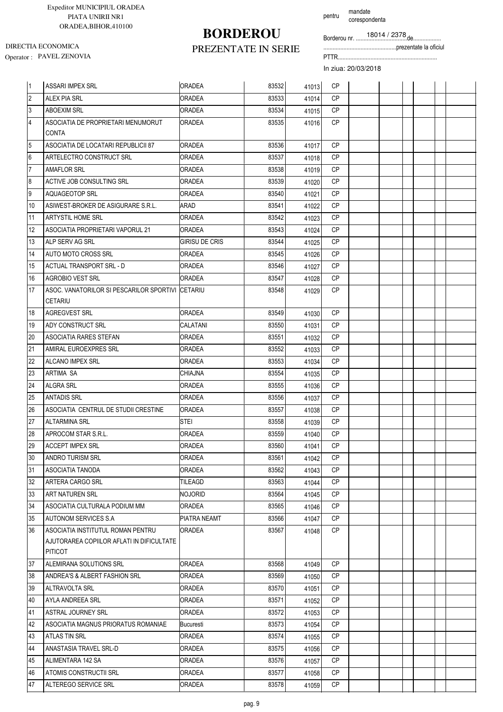# **BORDEROU**

PREZENTATE IN SERIE

pentru mandate corespondenta

Borderou nr. .................................de..................

...............................................prezentate la oficiul

Operator : PAVEL ZENOVIA PTTR................................................................ DIRECTIA ECONOMICA

| 1              | <b>ASSARI IMPEX SRL</b>                                            | <b>ORADEA</b>         | 83532 | 41013 | <b>CP</b> |  |  |  |
|----------------|--------------------------------------------------------------------|-----------------------|-------|-------|-----------|--|--|--|
| $\overline{2}$ | <b>ALEX PIA SRL</b>                                                | <b>ORADEA</b>         | 83533 | 41014 | <b>CP</b> |  |  |  |
| $\mathfrak{z}$ | <b>ABOEXIM SRL</b>                                                 | <b>ORADEA</b>         | 83534 | 41015 | <b>CP</b> |  |  |  |
| $\overline{4}$ | ASOCIATIA DE PROPRIETARI MENUMORUT<br>CONTA                        | <b>ORADEA</b>         | 83535 | 41016 | <b>CP</b> |  |  |  |
| $\overline{5}$ | ASOCIATIA DE LOCATARI REPUBLICII 87                                | <b>ORADEA</b>         | 83536 | 41017 | <b>CP</b> |  |  |  |
| $6\phantom{a}$ | ARTELECTRO CONSTRUCT SRL                                           | ORADEA                | 83537 | 41018 | <b>CP</b> |  |  |  |
| $\overline{7}$ | <b>AMAFLOR SRL</b>                                                 | ORADEA                | 83538 | 41019 | <b>CP</b> |  |  |  |
| 8              | ACTIVE JOB CONSULTING SRL                                          | ORADEA                | 83539 | 41020 | <b>CP</b> |  |  |  |
| 9              | AQUAGEOTOP SRL                                                     | <b>ORADEA</b>         | 83540 | 41021 | <b>CP</b> |  |  |  |
| 10             | ASIWEST-BROKER DE ASIGURARE S.R.L.                                 | ARAD                  | 83541 | 41022 | <b>CP</b> |  |  |  |
| 11             | ARTYSTIL HOME SRL                                                  | <b>ORADEA</b>         | 83542 | 41023 | <b>CP</b> |  |  |  |
| 12             | ASOCIATIA PROPRIETARI VAPORUL 21                                   | ORADEA                | 83543 | 41024 | <b>CP</b> |  |  |  |
| 13             | ALP SERV AG SRL                                                    | <b>GIRISU DE CRIS</b> | 83544 | 41025 | <b>CP</b> |  |  |  |
| 14             | AUTO MOTO CROSS SRL                                                | ORADEA                | 83545 | 41026 | <b>CP</b> |  |  |  |
| 15             | <b>ACTUAL TRANSPORT SRL - D</b>                                    | <b>ORADEA</b>         | 83546 | 41027 | <b>CP</b> |  |  |  |
| 16             | AGROBIO VEST SRL                                                   | <b>ORADEA</b>         | 83547 | 41028 | CP        |  |  |  |
| 17             | ASOC. VANATORILOR SI PESCARILOR SPORTIVI CETARIU<br><b>CETARIU</b> |                       | 83548 | 41029 | <b>CP</b> |  |  |  |
| 18             | <b>AGREGVEST SRL</b>                                               | <b>ORADEA</b>         | 83549 | 41030 | <b>CP</b> |  |  |  |
| 19             | ADY CONSTRUCT SRL                                                  | CALATANI              | 83550 | 41031 | <b>CP</b> |  |  |  |
| 20             | ASOCIATIA RARES STEFAN                                             | ORADEA                | 83551 | 41032 | CP        |  |  |  |
| 21             | AMIRAL EUROEXPRES SRL                                              | ORADEA                | 83552 | 41033 | <b>CP</b> |  |  |  |
| 22             | ALCANO IMPEX SRL                                                   | <b>ORADEA</b>         | 83553 | 41034 | <b>CP</b> |  |  |  |
| 23             | ARTIMA SA                                                          | CHIAJNA               | 83554 | 41035 | <b>CP</b> |  |  |  |
| 24             | ALGRA SRL                                                          | ORADEA                | 83555 | 41036 | <b>CP</b> |  |  |  |
| 25             | <b>ANTADIS SRL</b>                                                 | <b>ORADEA</b>         | 83556 | 41037 | <b>CP</b> |  |  |  |
| 26             | ASOCIATIA CENTRUL DE STUDII CRESTINE                               | <b>ORADEA</b>         | 83557 | 41038 | <b>CP</b> |  |  |  |
| 27             | <b>ALTARMINA SRL</b>                                               | STEI                  | 83558 | 41039 | <b>CP</b> |  |  |  |
| 28             | APROCOM STAR S.R.L.                                                | ORADEA                | 83559 | 41040 | CP        |  |  |  |
| 29             | <b>ACCEPT IMPEX SRL</b>                                            | <b>ORADEA</b>         | 83560 | 41041 | CP        |  |  |  |
| 30             | ANDRO TURISM SRL                                                   | ORADEA                | 83561 | 41042 | CP        |  |  |  |
| 31             | ASOCIATIA TANODA                                                   | ORADEA                | 83562 | 41043 | СP        |  |  |  |
| 32             | ARTERA CARGO SRL                                                   | <b>TILEAGD</b>        | 83563 | 41044 | CP        |  |  |  |
| 33             | ART NATUREN SRL                                                    | Nojorid               | 83564 | 41045 | <b>CP</b> |  |  |  |
| 34             | ASOCIATIA CULTURALA PODIUM MM                                      | <b>ORADEA</b>         | 83565 | 41046 | CP        |  |  |  |
| 35             | AUTONOM SERVICES S.A.                                              | PIATRA NEAMT          | 83566 | 41047 | CP        |  |  |  |
| 36             | ASOCIATIA INSTITUTUL ROMAN PENTRU                                  | ORADEA                | 83567 | 41048 | СP        |  |  |  |
|                | AJUTORAREA COPIILOR AFLATI IN DIFICULTATE<br><b>PITICOT</b>        |                       |       |       |           |  |  |  |
| 37             | ALEMIRANA SOLUTIONS SRL                                            | <b>ORADEA</b>         | 83568 | 41049 | CP        |  |  |  |
| 38             | ANDREA'S & ALBERT FASHION SRL                                      | ORADEA                | 83569 | 41050 | <b>CP</b> |  |  |  |
| 39             | ALTRAVOLTA SRL                                                     | <b>ORADEA</b>         | 83570 | 41051 | <b>CP</b> |  |  |  |
| 40             | AYLA ANDREEA SRL                                                   | ORADEA                | 83571 | 41052 | CP        |  |  |  |
| 41             | ASTRAL JOURNEY SRL                                                 | ORADEA                | 83572 | 41053 | CP        |  |  |  |
| 42             | ASOCIATIA MAGNUS PRIORATUS ROMANIAE                                | Bucuresti             | 83573 | 41054 | <b>CP</b> |  |  |  |
| 43             | ATLAS TIN SRL                                                      | ORADEA                | 83574 | 41055 | СP        |  |  |  |
| 44             | ANASTASIA TRAVEL SRL-D                                             | ORADEA                | 83575 | 41056 | CP        |  |  |  |
| 45             | ALIMENTARA 142 SA                                                  | ORADEA                | 83576 | 41057 | CP.       |  |  |  |
| 46             | ATOMIS CONSTRUCTII SRL                                             | ORADEA                | 83577 | 41058 | СP        |  |  |  |
| 47             | ALTEREGO SERVICE SRL                                               | ORADEA                | 83578 | 41059 | СP        |  |  |  |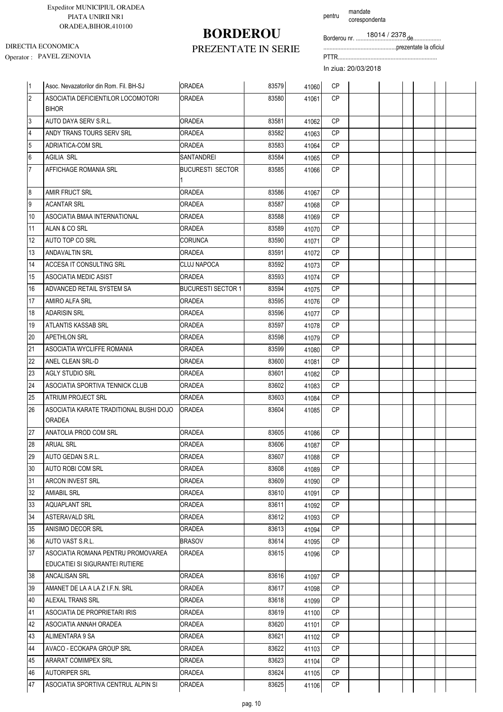## **BORDEROU**

pentru mandate corespondenta

Borderou nr. .................................de..................

...............................................prezentate la oficiul

Operator : PAVEL ZENOVIA PTTR................................................................ DIRECTIA ECONOMICA

### PREZENTATE IN SERIE

| $\vert$ 1      | Asoc. Nevazatorilor din Rom. Fil. BH-SJ                               | <b>ORADEA</b>             | 83579 | 41060 | <b>CP</b> |  |  |  |
|----------------|-----------------------------------------------------------------------|---------------------------|-------|-------|-----------|--|--|--|
| $\overline{2}$ | ASOCIATIA DEFICIENTILOR LOCOMOTORI                                    | <b>ORADEA</b>             | 83580 | 41061 | <b>CP</b> |  |  |  |
|                | <b>BIHOR</b>                                                          |                           |       |       |           |  |  |  |
| 3              | AUTO DAYA SERV S.R.L.                                                 | <b>ORADEA</b>             | 83581 | 41062 | <b>CP</b> |  |  |  |
| $\overline{4}$ | ANDY TRANS TOURS SERV SRL                                             | <b>ORADEA</b>             | 83582 | 41063 | <b>CP</b> |  |  |  |
| 5              | <b>ADRIATICA-COM SRL</b>                                              | <b>ORADEA</b>             | 83583 | 41064 | <b>CP</b> |  |  |  |
| 6              | <b>AGILIA SRL</b>                                                     | SANTANDREI                | 83584 | 41065 | <b>CP</b> |  |  |  |
| 17             | AFFICHAGE ROMANIA SRL                                                 | BUCURESTI SECTOR          | 83585 | 41066 | <b>CP</b> |  |  |  |
| 8              | AMIR FRUCT SRL                                                        | <b>ORADEA</b>             | 83586 | 41067 | <b>CP</b> |  |  |  |
| 9              | <b>ACANTAR SRL</b>                                                    | <b>ORADEA</b>             | 83587 | 41068 | <b>CP</b> |  |  |  |
| 10             | ASOCIATIA BMAA INTERNATIONAL                                          | <b>ORADEA</b>             | 83588 | 41069 | <b>CP</b> |  |  |  |
| 11             | ALAN & CO SRL                                                         | <b>ORADEA</b>             | 83589 | 41070 | <b>CP</b> |  |  |  |
| 12             | AUTO TOP CO SRL                                                       | <b>CORUNCA</b>            | 83590 | 41071 | <b>CP</b> |  |  |  |
| 13             | <b>ANDAVALTIN SRL</b>                                                 | <b>ORADEA</b>             | 83591 | 41072 | <b>CP</b> |  |  |  |
| 14             | ACCESA IT CONSULTING SRL                                              | <b>CLUJ NAPOCA</b>        | 83592 | 41073 | <b>CP</b> |  |  |  |
| 15             | ASOCIATIA MEDIC ASIST                                                 | <b>ORADEA</b>             | 83593 | 41074 | <b>CP</b> |  |  |  |
| 16             | ADVANCED RETAIL SYSTEM SA                                             | <b>BUCURESTI SECTOR 1</b> | 83594 | 41075 | <b>CP</b> |  |  |  |
| 17             | AMIRO ALFA SRL                                                        | <b>ORADEA</b>             | 83595 | 41076 | <b>CP</b> |  |  |  |
| 18             | <b>ADARISIN SRL</b>                                                   | <b>ORADEA</b>             | 83596 | 41077 | <b>CP</b> |  |  |  |
| 19             | ATLANTIS KASSAB SRL                                                   | <b>ORADEA</b>             | 83597 | 41078 | <b>CP</b> |  |  |  |
| 20             | <b>APETHLON SRL</b>                                                   | <b>ORADEA</b>             | 83598 | 41079 | <b>CP</b> |  |  |  |
| 21             | ASOCIATIA WYCLIFFE ROMANIA                                            | <b>ORADEA</b>             | 83599 | 41080 | <b>CP</b> |  |  |  |
| 22             | ANEL CLEAN SRL-D                                                      | <b>ORADEA</b>             | 83600 | 41081 | <b>CP</b> |  |  |  |
| 23             | AGLY STUDIO SRL                                                       | <b>ORADEA</b>             | 83601 | 41082 | CP        |  |  |  |
| 24             | ASOCIATIA SPORTIVA TENNICK CLUB                                       | <b>ORADEA</b>             | 83602 | 41083 | <b>CP</b> |  |  |  |
| 25             | <b>ATRIUM PROJECT SRL</b>                                             | <b>ORADEA</b>             | 83603 | 41084 | <b>CP</b> |  |  |  |
| 26             | ASOCIATIA KARATE TRADITIONAL BUSHI DOJO<br><b>ORADEA</b>              | IORADEA                   | 83604 | 41085 | <b>CP</b> |  |  |  |
| 27             | ANATOLIA PROD COM SRL                                                 | <b>ORADEA</b>             | 83605 | 41086 | CP        |  |  |  |
| 28             | <b>ARUAL SRL</b>                                                      | <b>ORADEA</b>             | 83606 | 41087 | <b>CP</b> |  |  |  |
| 29             | AUTO GEDAN S.R.L.                                                     | <b>ORADEA</b>             | 83607 | 41088 | CP        |  |  |  |
| 30             | AUTO ROBI COM SRL                                                     | ORADEA                    | 83608 | 41089 | CP        |  |  |  |
| 31             | ARCON INVEST SRL                                                      | <b>ORADEA</b>             | 83609 | 41090 | CP        |  |  |  |
| 32             | <b>AMIABIL SRL</b>                                                    | <b>ORADEA</b>             | 83610 | 41091 | CP.       |  |  |  |
| 33             | <b>AQUAPLANT SRL</b>                                                  | <b>ORADEA</b>             | 83611 | 41092 | CP        |  |  |  |
| 34             | <b>ASTERAVALD SRL</b>                                                 | <b>ORADEA</b>             | 83612 | 41093 | CP.       |  |  |  |
| 35             | ANISIMO DECOR SRL                                                     | ORADEA                    | 83613 | 41094 | CP.       |  |  |  |
| 36             | AUTO VAST S.R.L.                                                      | BRASOV                    | 83614 | 41095 | CP        |  |  |  |
| 37             | ASOCIATIA ROMANA PENTRU PROMOVAREA<br>EDUCATIEI SI SIGURANTEI RUTIERE | ORADEA                    | 83615 | 41096 | CP        |  |  |  |
| 38             | ANCALISAN SRL                                                         | <b>ORADEA</b>             | 83616 | 41097 | CP        |  |  |  |
| 39             | AMANET DE LA A LA Z I.F.N. SRL                                        | <b>ORADEA</b>             | 83617 | 41098 | CP.       |  |  |  |
| 40             | ALEXAL TRANS SRL                                                      | <b>ORADEA</b>             | 83618 | 41099 | CP        |  |  |  |
| 41             | ASOCIATIA DE PROPRIETARI IRIS                                         | <b>ORADEA</b>             | 83619 | 41100 | CP        |  |  |  |
| 42             | ASOCIATIA ANNAH ORADEA                                                | <b>ORADEA</b>             | 83620 | 41101 | CP        |  |  |  |
| 43             | ALIMENTARA 9 SA                                                       | <b>ORADEA</b>             | 83621 | 41102 | CP.       |  |  |  |
| 44             | AVACO - ECOKAPA GROUP SRL                                             | <b>ORADEA</b>             | 83622 | 41103 | CP        |  |  |  |
| 45             | ARARAT COMIMPEX SRL                                                   | ORADEA                    | 83623 | 41104 | CP        |  |  |  |
| 46             | <b>AUTORIPER SRL</b>                                                  | ORADEA                    | 83624 | 41105 | CP        |  |  |  |
| 47             | ASOCIATIA SPORTIVA CENTRUL ALPIN SI                                   | ORADEA                    | 83625 | 41106 | СP        |  |  |  |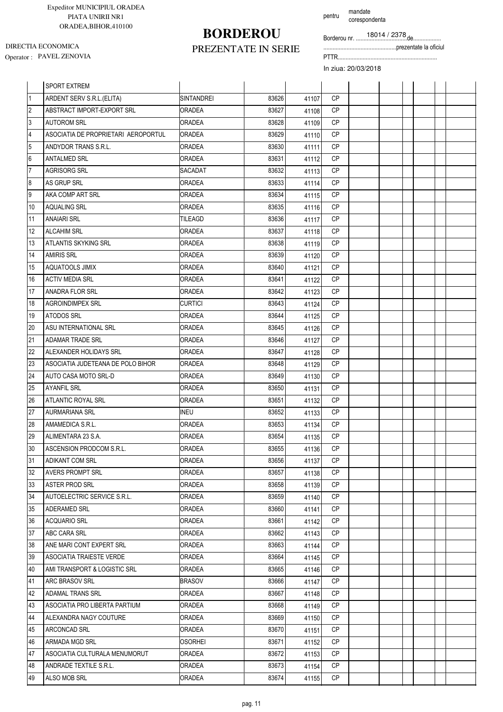# **BORDEROU**

pentru mandate corespondenta

Borderou nr. .................................de..................

...............................................prezentate la oficiul

Operator : PAVEL ZENOVIA PTTR................................................................ DIRECTIA ECONOMICA

### PREZENTATE IN SERIE

|                | <b>SPORT EXTREM</b>                 |                   |       |       |           |  |  |  |
|----------------|-------------------------------------|-------------------|-------|-------|-----------|--|--|--|
| $\overline{1}$ | ARDENT SERV S.R.L.(ELITA)           | <b>SINTANDREI</b> | 83626 | 41107 | <b>CP</b> |  |  |  |
| $\overline{2}$ | ABSTRACT IMPORT-EXPORT SRL          | <b>ORADEA</b>     | 83627 | 41108 | <b>CP</b> |  |  |  |
| 3              | <b>AUTOROM SRL</b>                  | ORADEA            | 83628 | 41109 | <b>CP</b> |  |  |  |
| $\overline{4}$ | ASOCIATIA DE PROPRIETARI AEROPORTUL | ORADEA            | 83629 | 41110 | <b>CP</b> |  |  |  |
| 5              | ANDYDOR TRANS S.R.L.                | ORADEA            | 83630 | 41111 | <b>CP</b> |  |  |  |
| 6              | <b>ANTALMED SRL</b>                 | ORADEA            | 83631 | 41112 | <b>CP</b> |  |  |  |
| $\overline{7}$ | <b>AGRISORG SRL</b>                 | SACADAT           | 83632 | 41113 | <b>CP</b> |  |  |  |
| 8              | AS GRUP SRL                         | ORADEA            | 83633 | 41114 | <b>CP</b> |  |  |  |
| 9              | AKA COMP ART SRL                    | ORADEA            | 83634 | 41115 | CP        |  |  |  |
| 10             | <b>AQUALING SRL</b>                 | ORADEA            | 83635 | 41116 | <b>CP</b> |  |  |  |
| 11             | <b>ANAIARI SRL</b>                  | TILEAGD           | 83636 | 41117 | <b>CP</b> |  |  |  |
| 12             | <b>ALCAHIM SRL</b>                  | ORADEA            | 83637 | 41118 | <b>CP</b> |  |  |  |
| 13             | ATLANTIS SKYKING SRL                | <b>ORADEA</b>     | 83638 | 41119 | <b>CP</b> |  |  |  |
| 14             | <b>AMIRIS SRL</b>                   | <b>ORADEA</b>     | 83639 | 41120 | <b>CP</b> |  |  |  |
| 15             | <b>AQUATOOLS JIMIX</b>              | ORADEA            | 83640 | 41121 | <b>CP</b> |  |  |  |
| 16             | <b>ACTIV MEDIA SRL</b>              | <b>ORADEA</b>     | 83641 | 41122 | <b>CP</b> |  |  |  |
| 17             | <b>ANADRA FLOR SRL</b>              | ORADEA            | 83642 | 41123 | <b>CP</b> |  |  |  |
| 18             | <b>AGROINDIMPEX SRL</b>             | <b>CURTICI</b>    | 83643 | 41124 | CP        |  |  |  |
| 19             | ATODOS SRL                          | ORADEA            | 83644 | 41125 | CP        |  |  |  |
| 20             | ASU INTERNATIONAL SRL               | <b>ORADEA</b>     | 83645 | 41126 | <b>CP</b> |  |  |  |
| 21             | <b>ADAMAR TRADE SRL</b>             | ORADEA            | 83646 | 41127 | <b>CP</b> |  |  |  |
| 22             | ALEXANDER HOLIDAYS SRL              | <b>ORADEA</b>     | 83647 | 41128 | <b>CP</b> |  |  |  |
| 23             | ASOCIATIA JUDETEANA DE POLO BIHOR   | ORADEA            | 83648 | 41129 | <b>CP</b> |  |  |  |
| 24             | AUTO CASA MOTO SRL-D                | ORADEA            | 83649 | 41130 | <b>CP</b> |  |  |  |
| 25             | <b>AYANFIL SRL</b>                  | ORADEA            | 83650 | 41131 | <b>CP</b> |  |  |  |
| 26             | ATLANTIC ROYAL SRL                  | ORADEA            | 83651 | 41132 | <b>CP</b> |  |  |  |
| 27             | <b>AURMARIANA SRL</b>               | INEU              | 83652 | 41133 | <b>CP</b> |  |  |  |
| 28             | AMAMEDICA S.R.L.                    | <b>ORADEA</b>     | 83653 | 41134 | <b>CP</b> |  |  |  |
| 29             | ALIMENTARA 23 S.A.                  | ORADEA            | 83654 | 41135 | <b>CP</b> |  |  |  |
| 30             | ASCENSION PRODCOM S.R.L.            | ORADEA            | 83655 | 41136 | <b>CP</b> |  |  |  |
| 31             | ADIKANT COM SRL                     | <b>ORADEA</b>     | 83656 | 41137 | CP        |  |  |  |
| 32             | <b>AVERS PROMPT SRL</b>             | ORADEA            | 83657 | 41138 | СP        |  |  |  |
| 33             | ASTER PROD SRL                      | ORADEA            | 83658 | 41139 | CP        |  |  |  |
| 34             | AUTOELECTRIC SERVICE S.R.L.         | ORADEA            | 83659 | 41140 | СP        |  |  |  |
| 35             | ADERAMED SRL                        | ORADEA            | 83660 | 41141 | CP.       |  |  |  |
| 36             | <b>ACQUARIO SRL</b>                 | ORADEA            | 83661 | 41142 | CP        |  |  |  |
| 37             | ABC CARA SRL                        | ORADEA            | 83662 | 41143 | CP.       |  |  |  |
| 38             | ANE MARI CONT EXPERT SRL            | ORADEA            | 83663 | 41144 | CP        |  |  |  |
| 39             | ASOCIATIA TRAIESTE VERDE            | ORADEA            | 83664 | 41145 | CP        |  |  |  |
| 40             | AMI TRANSPORT & LOGISTIC SRL        | ORADEA            | 83665 | 41146 | CP.       |  |  |  |
| 41             | ARC BRASOV SRL                      | <b>BRASOV</b>     | 83666 | 41147 | <b>CP</b> |  |  |  |
| 42             | ADAMAL TRANS SRL                    | ORADEA            | 83667 | 41148 | CP.       |  |  |  |
| 43             | ASOCIATIA PRO LIBERTA PARTIUM       | ORADEA            | 83668 | 41149 | CP        |  |  |  |
| 44             | ALEXANDRA NAGY COUTURE              | ORADEA            | 83669 | 41150 | CP        |  |  |  |
| 45             | ARCONCAD SRL                        | ORADEA            | 83670 | 41151 | CP        |  |  |  |
| 46             | ARMADA MGD SRL                      | osorhei           | 83671 | 41152 | CP        |  |  |  |
| 47             | ASOCIATIA CULTURALA MENUMORUT       | <b>ORADEA</b>     | 83672 | 41153 | CP        |  |  |  |
| 48             | ANDRADE TEXTILE S.R.L.              | ORADEA            | 83673 | 41154 | CP.       |  |  |  |
| 49             | ALSO MOB SRL                        | <b>ORADEA</b>     | 83674 | 41155 | <b>CP</b> |  |  |  |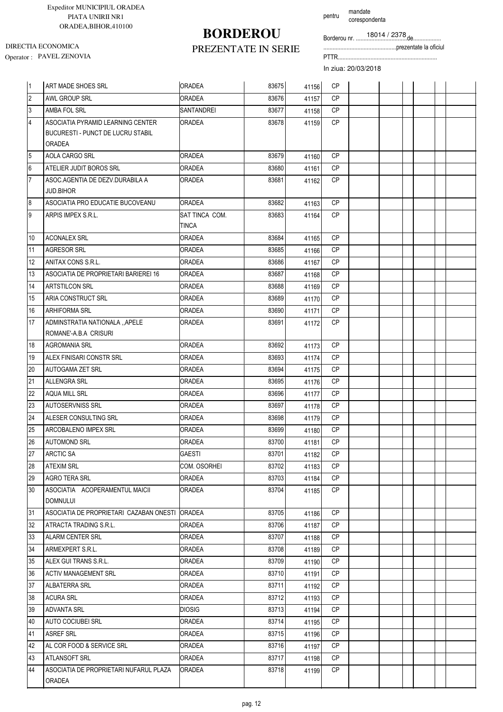# **BORDEROU**

pentru mandate corespondenta

Borderou nr. .................................de..................

...............................................prezentate la oficiul

DIRECTIA ECONOMICA

### PREZENTATE IN SERIE Operator : PAVEL ZENOVIA PTTR................................................................

| 1               | ART MADE SHOES SRL                                                                      | <b>ORADEA</b>                  | 83675 | 41156 | <b>CP</b> |  |  |  |
|-----------------|-----------------------------------------------------------------------------------------|--------------------------------|-------|-------|-----------|--|--|--|
| $\overline{2}$  | AWL GROUP SRL                                                                           | <b>ORADEA</b>                  | 83676 | 41157 | <b>CP</b> |  |  |  |
| $\overline{3}$  | AMBA FOL SRL                                                                            | <b>SANTANDREI</b>              | 83677 | 41158 | <b>CP</b> |  |  |  |
| $\overline{4}$  | ASOCIATIA PYRAMID LEARNING CENTER<br><b>BUCURESTI - PUNCT DE LUCRU STABIL</b><br>ORADEA | <b>ORADEA</b>                  | 83678 | 41159 | <b>CP</b> |  |  |  |
| $\overline{5}$  | AOLA CARGO SRL                                                                          | <b>ORADEA</b>                  | 83679 | 41160 | <b>CP</b> |  |  |  |
| $6\phantom{a}$  | ATELIER JUDIT BOROS SRL                                                                 | <b>ORADEA</b>                  | 83680 | 41161 | <b>CP</b> |  |  |  |
| $\overline{7}$  | ASOC AGENTIA DE DEZV DURABILA A<br><b>JUD.BIHOR</b>                                     | ORADEA                         | 83681 | 41162 | <b>CP</b> |  |  |  |
| 8               | ASOCIATIA PRO EDUCATIE BUCOVEANU                                                        | <b>ORADEA</b>                  | 83682 | 41163 | <b>CP</b> |  |  |  |
| 9               | ARPIS IMPEX S.R.L.                                                                      | SAT TINCA COM.<br><b>TINCA</b> | 83683 | 41164 | <b>CP</b> |  |  |  |
| 10              | <b>ACONALEX SRL</b>                                                                     | <b>ORADEA</b>                  | 83684 | 41165 | <b>CP</b> |  |  |  |
| 11              | <b>AGRESOR SRL</b>                                                                      | ORADEA                         | 83685 | 41166 | <b>CP</b> |  |  |  |
| 12              | ANITAX CONS S.R.L.                                                                      | <b>ORADEA</b>                  | 83686 | 41167 | <b>CP</b> |  |  |  |
| 13              | ASOCIATIA DE PROPRIETARI BARIEREI 16                                                    | <b>ORADEA</b>                  | 83687 | 41168 | <b>CP</b> |  |  |  |
| 14              | <b>ARTSTILCON SRL</b>                                                                   | ORADEA                         | 83688 | 41169 | <b>CP</b> |  |  |  |
| 15              | ARIA CONSTRUCT SRL                                                                      | ORADEA                         | 83689 | 41170 | <b>CP</b> |  |  |  |
| 16              | <b>ARHIFORMA SRL</b>                                                                    | <b>ORADEA</b>                  | 83690 | 41171 | <b>CP</b> |  |  |  |
| 17              | ADMINSTRATIA NATIONALA "APELE<br>ROMANE'-A.B.A CRISURI                                  | ORADEA                         | 83691 | 41172 | CP        |  |  |  |
| 18              | <b>AGROMANIA SRL</b>                                                                    | <b>ORADEA</b>                  | 83692 | 41173 | <b>CP</b> |  |  |  |
| 19              | ALEX FINISARI CONSTR SRL                                                                | ORADEA                         | 83693 | 41174 | <b>CP</b> |  |  |  |
| 20              | <b>AUTOGAMA ZET SRL</b>                                                                 | ORADEA                         | 83694 | 41175 | <b>CP</b> |  |  |  |
| $\overline{21}$ | <b>ALLENGRA SRL</b>                                                                     | <b>ORADEA</b>                  | 83695 | 41176 | <b>CP</b> |  |  |  |
| 22              | AQUA MILL SRL                                                                           | ORADEA                         | 83696 | 41177 | <b>CP</b> |  |  |  |
| 23              | AUTOSERVNISS SRL                                                                        | ORADEA                         | 83697 | 41178 | <b>CP</b> |  |  |  |
| 24              | ALESER CONSULTING SRL                                                                   | ORADEA                         | 83698 | 41179 | <b>CP</b> |  |  |  |
| 25              | ARCOBALENO IMPEX SRL                                                                    | <b>ORADEA</b>                  | 83699 | 41180 | <b>CP</b> |  |  |  |
| 26              | <b>AUTOMOND SRL</b>                                                                     | <b>ORADEA</b>                  | 83700 | 41181 | <b>CP</b> |  |  |  |
| 27              | <b>ARCTIC SA</b>                                                                        | <b>GAESTI</b>                  | 83701 | 41182 | <b>CP</b> |  |  |  |
| 28              | <b>ATEXIM SRL</b>                                                                       | COM. OSORHEI                   | 83702 | 41183 | <b>CP</b> |  |  |  |
| 29              | AGRO TERA SRL                                                                           | <b>ORADEA</b>                  | 83703 | 41184 | <b>CP</b> |  |  |  |
| 30              | ASOCIATIA ACOPERAMENTUL MAICII<br>DOMNULUI                                              | <b>ORADEA</b>                  | 83704 | 41185 | CP        |  |  |  |
| 31              | ASOCIATIA DE PROPRIETARI CAZABAN ONESTI ORADEA                                          |                                | 83705 | 41186 | <b>CP</b> |  |  |  |
| 32              | ATRACTA TRADING S.R.L.                                                                  | <b>ORADEA</b>                  | 83706 | 41187 | CP.       |  |  |  |
| 33              | ALARM CENTER SRL                                                                        | <b>ORADEA</b>                  | 83707 | 41188 | CP        |  |  |  |
| 34              | ARMEXPERT S.R.L.                                                                        | <b>ORADEA</b>                  | 83708 | 41189 | <b>CP</b> |  |  |  |
| 35              | ALEX GUI TRANS S.R.L.                                                                   | ORADEA                         | 83709 | 41190 | CP        |  |  |  |
| 36              | <b>ACTIV MANAGEMENT SRL</b>                                                             | <b>ORADEA</b>                  | 83710 | 41191 | <b>CP</b> |  |  |  |
| 37              | ALBATERRA SRL                                                                           | ORADEA                         | 83711 | 41192 | <b>CP</b> |  |  |  |
| 38              | <b>ACURA SRL</b>                                                                        | ORADEA                         | 83712 | 41193 | CP        |  |  |  |
| 39              | <b>ADVANTA SRL</b>                                                                      | <b>DIOSIG</b>                  | 83713 | 41194 | CP        |  |  |  |
| 40              | <b>AUTO COCIUBEI SRL</b>                                                                | ORADEA                         | 83714 | 41195 | CP.       |  |  |  |
| 41              | <b>ASREF SRL</b>                                                                        | <b>ORADEA</b>                  | 83715 | 41196 | <b>CP</b> |  |  |  |
| 42              | AL COR FOOD & SERVICE SRL                                                               | <b>ORADEA</b>                  | 83716 | 41197 | CP        |  |  |  |
| 43              | <b>ATLANSOFT SRL</b>                                                                    | <b>ORADEA</b>                  | 83717 | 41198 | CP        |  |  |  |
| 44              | ASOCIATIA DE PROPRIETARI NUFARUL PLAZA<br>ORADEA                                        | <b>ORADEA</b>                  | 83718 | 41199 | CP        |  |  |  |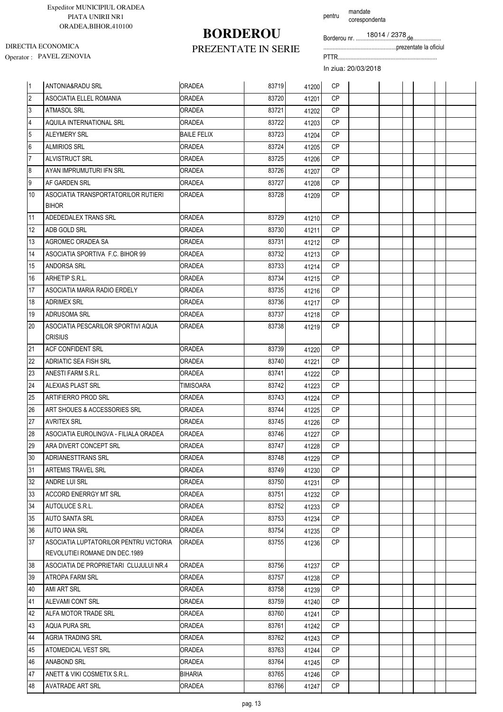# **BORDEROU**

pentru mandate corespondenta

Borderou nr. .................................de..................

...............................................prezentate la oficiul

### PREZENTATE IN SERIE

In ziua: 20/03/2018

| 1              | <b>ANTONIA&amp;RADU SRL</b>            | <b>ORADEA</b>      | 83719 | 41200 | CP        |  |  |  |
|----------------|----------------------------------------|--------------------|-------|-------|-----------|--|--|--|
| $\overline{2}$ | ASOCIATIA ELLEL ROMANIA                | <b>ORADEA</b>      | 83720 | 41201 | <b>CP</b> |  |  |  |
| 3              | <b>ATMASOL SRL</b>                     | ORADEA             | 83721 | 41202 | <b>CP</b> |  |  |  |
| 4              | AQUILA INTERNATIONAL SRL               | ORADEA             | 83722 | 41203 | <b>CP</b> |  |  |  |
| 5              | <b>ALEYMERY SRL</b>                    | <b>BAILE FELIX</b> | 83723 | 41204 | CP        |  |  |  |
| l6             | <b>ALMIRIOS SRL</b>                    | <b>ORADEA</b>      | 83724 | 41205 | CP        |  |  |  |
| $\overline{7}$ | ALVISTRUCT SRL                         | ORADEA             | 83725 | 41206 | CP        |  |  |  |
| 8              | AYAN IMPRUMUTURI IFN SRL               | ORADEA             | 83726 | 41207 | CP        |  |  |  |
| 9              | AF GARDEN SRL                          | ORADEA             | 83727 | 41208 | <b>CP</b> |  |  |  |
| 10             | ASOCIATIA TRANSPORTATORILOR RUTIERI    | <b>ORADEA</b>      | 83728 | 41209 | <b>CP</b> |  |  |  |
|                | <b>BIHOR</b>                           |                    |       |       |           |  |  |  |
| 11             | ADEDEDALEX TRANS SRL                   | <b>ORADEA</b>      | 83729 | 41210 | <b>CP</b> |  |  |  |
| 12             | ADB GOLD SRL                           | <b>ORADEA</b>      | 83730 | 41211 | <b>CP</b> |  |  |  |
| 13             | AGROMEC ORADEA SA                      | <b>ORADEA</b>      | 83731 | 41212 | <b>CP</b> |  |  |  |
| 14             | ASOCIATIA SPORTIVA F.C. BIHOR 99       | ORADEA             | 83732 | 41213 | <b>CP</b> |  |  |  |
| 15             | ANDORSA SRL                            | ORADEA             | 83733 | 41214 | <b>CP</b> |  |  |  |
| 16             | ARHETIP S.R.L.                         | ORADEA             | 83734 | 41215 | <b>CP</b> |  |  |  |
| 17             | ASOCIATIA MARIA RADIO ERDELY           | ORADEA             | 83735 | 41216 | CP        |  |  |  |
| 18             | <b>ADRIMEX SRL</b>                     | ORADEA             | 83736 | 41217 | <b>CP</b> |  |  |  |
| 19             | ADRUSOMA SRL                           | ORADEA             | 83737 | 41218 | <b>CP</b> |  |  |  |
| 20             | ASOCIATIA PESCARILOR SPORTIVI AQUA     | ORADEA             | 83738 | 41219 | CP        |  |  |  |
|                | <b>CRISIUS</b>                         |                    |       |       |           |  |  |  |
| 21             | ACF CONFIDENT SRL                      | <b>ORADEA</b>      | 83739 | 41220 | <b>CP</b> |  |  |  |
| 22             | ADRIATIC SEA FISH SRL                  | ORADEA             | 83740 | 41221 | СP        |  |  |  |
| 23             | ANESTI FARM S.R.L.                     | ORADEA             | 83741 | 41222 | CP        |  |  |  |
| 24             | ALEXIAS PLAST SRL                      | TIMISOARA          | 83742 | 41223 | <b>CP</b> |  |  |  |
| 25             | ARTIFIERRO PROD SRL                    | ORADEA             | 83743 | 41224 | CP        |  |  |  |
| 26             | ART SHOUES & ACCESSORIES SRL           | ORADEA             | 83744 | 41225 | <b>CP</b> |  |  |  |
| 27             | <b>AVRITEX SRL</b>                     | ORADEA             | 83745 | 41226 | CP        |  |  |  |
| 28             | ASOCIATIA EUROLINGVA - FILIALA ORADEA  | <b>ORADEA</b>      | 83746 | 41227 | <b>CP</b> |  |  |  |
| 29             | ARA DIVERT CONCEPT SRL                 | ORADEA             | 83747 | 41228 | <b>CP</b> |  |  |  |
| 30             | ADRIANESTTRANS SRL                     | <b>ORADEA</b>      | 83748 | 41229 | <b>CP</b> |  |  |  |
| 31             | ARTEMIS TRAVEL SRL                     | ORADEA             | 83749 | 41230 | CP.       |  |  |  |
| 32             | ANDRE LUI SRL                          | <b>ORADEA</b>      | 83750 | 41231 | СP        |  |  |  |
| 33             | ACCORD ENERRGY MT SRL                  | <b>ORADEA</b>      | 83751 | 41232 | CP        |  |  |  |
| 34             | AUTOLUCE S.R.L.                        | ORADEA             | 83752 | 41233 | <b>CP</b> |  |  |  |
| 35             | AUTO SANTA SRL                         | ORADEA             | 83753 | 41234 | <b>CP</b> |  |  |  |
| 36             | AUTO IANA SRL                          | <b>ORADEA</b>      | 83754 | 41235 | CP        |  |  |  |
| 37             | ASOCIATIA LUPTATORILOR PENTRU VICTORIA | <b> ORADEA</b>     | 83755 | 41236 | СP        |  |  |  |
|                | REVOLUTIEI ROMANE DIN DEC.1989         |                    |       |       |           |  |  |  |
| 38             | ASOCIATIA DE PROPRIETARI CLUJULUI NR.4 | <b>ORADEA</b>      | 83756 | 41237 | CP        |  |  |  |
| 39             | ATROPA FARM SRL                        | ORADEA             | 83757 | 41238 | CP        |  |  |  |
| 40             | AMI ART SRL                            | ORADEA             | 83758 | 41239 | СP        |  |  |  |
| 41             | ALEVAMI CONT SRL                       | <b>ORADEA</b>      | 83759 | 41240 | CP        |  |  |  |
| 42             | ALFA MOTOR TRADE SRL                   | <b>ORADEA</b>      | 83760 | 41241 | CP        |  |  |  |
| 43             | AQUA PURA SRL                          | ORADEA             | 83761 | 41242 | <b>CP</b> |  |  |  |
| 44             | AGRIA TRADING SRL                      | <b>ORADEA</b>      | 83762 | 41243 | СP        |  |  |  |
| 45             | ATOMEDICAL VEST SRL                    | ORADEA             | 83763 | 41244 | CP.       |  |  |  |
| 46             | ANABOND SRL                            | <b>ORADEA</b>      | 83764 | 41245 | <b>CP</b> |  |  |  |
| 47             | ANETT & VIKI COSMETIX S.R.L.           | BIHARIA            | 83765 | 41246 | CP.       |  |  |  |
| 48             | <b>AVATRADE ART SRL</b>                | <b>ORADEA</b>      | 83766 | 41247 | CP        |  |  |  |

DIRECTIA ECONOMICA

Operator : PAVEL ZENOVIA PTTR................................................................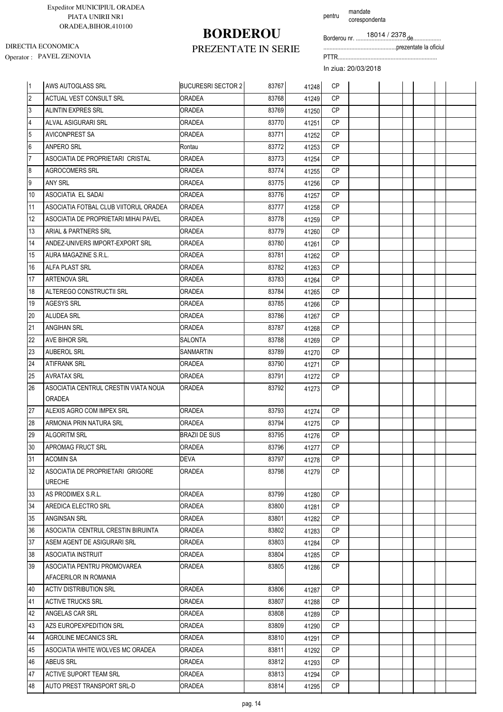# **BORDEROU**

corespondenta

pentru mandate

Borderou nr. .................................de..................

...............................................prezentate la oficiul

Operator : PAVEL ZENOVIA PTTR................................................................ DIRECTIA ECONOMICA

### PREZENTATE IN SERIE

| l 1            | AWS AUTOGLASS SRL                                 | <b>BUCURESRI SECTOR 2</b> | 83767 | 41248 | <b>CP</b> |  |  |  |
|----------------|---------------------------------------------------|---------------------------|-------|-------|-----------|--|--|--|
| $\overline{2}$ | ACTUAL VEST CONSULT SRL                           | <b>ORADEA</b>             | 83768 | 41249 | <b>CP</b> |  |  |  |
| 3              | <b>ALINTIN EXPRES SRL</b>                         | <b>ORADEA</b>             | 83769 | 41250 | <b>CP</b> |  |  |  |
| 4              | ALVAL ASIGURARI SRL                               | ORADEA                    | 83770 | 41251 | <b>CP</b> |  |  |  |
| 5              | <b>AVICONPREST SA</b>                             | <b>ORADEA</b>             | 83771 | 41252 | <b>CP</b> |  |  |  |
| 6              | ANPERO SRL                                        | Rontau                    | 83772 | 41253 | <b>CP</b> |  |  |  |
| $\overline{7}$ | ASOCIATIA DE PROPRIETARI CRISTAL                  | ORADEA                    | 83773 | 41254 | <b>CP</b> |  |  |  |
| 8              | <b>AGROCOMERS SRL</b>                             | ORADEA                    | 83774 | 41255 | <b>CP</b> |  |  |  |
| 9              | ANY SRL                                           | ORADEA                    | 83775 | 41256 | <b>CP</b> |  |  |  |
| 10             | ASOCIATIA EL SADAI                                | ORADEA                    | 83776 | 41257 | <b>CP</b> |  |  |  |
| 11             | ASOCIATIA FOTBAL CLUB VIITORUL ORADEA             | <b>ORADEA</b>             | 83777 | 41258 | <b>CP</b> |  |  |  |
| 12             | ASOCIATIA DE PROPRIETARI MIHAI PAVEL              | ORADEA                    | 83778 | 41259 | <b>CP</b> |  |  |  |
| 13             | ARIAL & PARTNERS SRL                              | ORADEA                    | 83779 | 41260 | <b>CP</b> |  |  |  |
| 14             | ANDEZ-UNIVERS IMPORT-EXPORT SRL                   | ORADEA                    | 83780 | 41261 | CP        |  |  |  |
| 15             | AURA MAGAZINE S.R.L.                              | ORADEA                    | 83781 | 41262 | CP        |  |  |  |
| 16             | <b>ALFA PLAST SRL</b>                             | ORADEA                    | 83782 | 41263 | <b>CP</b> |  |  |  |
| 17             | ARTENOVA SRL                                      | ORADEA                    | 83783 | 41264 | <b>CP</b> |  |  |  |
| 18             | ALTEREGO CONSTRUCTII SRL                          | ORADEA                    | 83784 | 41265 | <b>CP</b> |  |  |  |
| 19             | <b>AGESYS SRL</b>                                 | ORADEA                    | 83785 | 41266 | <b>CP</b> |  |  |  |
| 20             | ALUDEA SRL                                        | ORADEA                    | 83786 | 41267 | <b>CP</b> |  |  |  |
| 21             | ANGIHAN SRL                                       | ORADEA                    | 83787 | 41268 | <b>CP</b> |  |  |  |
| 22             | AVE BIHOR SRL                                     | SALONTA                   | 83788 | 41269 | <b>CP</b> |  |  |  |
| 23             | <b>AUBEROL SRL</b>                                | SANMARTIN                 | 83789 | 41270 | <b>CP</b> |  |  |  |
| 24             | <b>ATIFRANK SRL</b>                               | <b>ORADEA</b>             | 83790 | 41271 | <b>CP</b> |  |  |  |
| 25             | <b>AVRATAX SRL</b>                                | ORADEA                    | 83791 | 41272 | <b>CP</b> |  |  |  |
| 26             | ASOCIATIA CENTRUL CRESTIN VIATA NOUA              | ORADEA                    | 83792 | 41273 | CP        |  |  |  |
|                | ORADEA                                            |                           |       |       |           |  |  |  |
| 27             | ALEXIS AGRO COM IMPEX SRL                         | <b>ORADEA</b>             | 83793 | 41274 | <b>CP</b> |  |  |  |
| 28             | ARMONIA PRIN NATURA SRL                           | ORADEA                    | 83794 | 41275 | <b>CP</b> |  |  |  |
| 29             | <b>ALGORITM SRL</b>                               | <b>BRAZII DE SUS</b>      | 83795 | 41276 | <b>CP</b> |  |  |  |
| 30             | APROMAG FRUCT SRL                                 | ORADEA                    | 83796 | 41277 | <b>CP</b> |  |  |  |
| 31             | <b>ACOMIN SA</b>                                  | DEVA                      | 83797 | 41278 | СP        |  |  |  |
| 32             | ASOCIATIA DE PROPRIETARI GRIGORE<br><b>URECHE</b> | ORADEA                    | 83798 | 41279 | CP.       |  |  |  |
| 33             | AS PRODIMEX S.R.L.                                | ORADEA                    | 83799 | 41280 | CP.       |  |  |  |
| 34             | AREDICA ELECTRO SRL                               | ORADEA                    | 83800 | 41281 | CP        |  |  |  |
| 35             | <b>ANGINSAN SRL</b>                               | ORADEA                    | 83801 | 41282 | CP.       |  |  |  |
| 36             | ASOCIATIA CENTRUL CRESTIN BIRUINTA                | ORADEA                    | 83802 | 41283 | СP        |  |  |  |
| 37             | ASEM AGENT DE ASIGURARI SRL                       | ORADEA                    | 83803 | 41284 | CP.       |  |  |  |
| 38             | ASOCIATIA INSTRUIT                                | ORADEA                    | 83804 | 41285 | CP        |  |  |  |
| 39             | ASOCIATIA PENTRU PROMOVAREA                       | ORADEA                    | 83805 | 41286 | CP.       |  |  |  |
|                | AFACERILOR IN ROMANIA                             |                           |       |       |           |  |  |  |
| 40             | <b>ACTIV DISTRIBUTION SRL</b>                     | ORADEA                    | 83806 | 41287 | CP.       |  |  |  |
| 41             | <b>ACTIVE TRUCKS SRL</b>                          | ORADEA                    | 83807 | 41288 | СP        |  |  |  |
| 42             | ANGELAS CAR SRL                                   | ORADEA                    | 83808 | 41289 | CP.       |  |  |  |
| 43             | AZS EUROPEXPEDITION SRL                           | ORADEA                    | 83809 | 41290 | <b>CP</b> |  |  |  |
| 44             | AGROLINE MECANICS SRL                             | ORADEA                    | 83810 | 41291 | CP        |  |  |  |
| 45             | ASOCIATIA WHITE WOLVES MC ORADEA                  | ORADEA                    | 83811 | 41292 | CP.       |  |  |  |
|                | <b>ABEUS SRL</b>                                  | ORADEA                    | 83812 | 41293 | СP        |  |  |  |
| 46             |                                                   |                           |       |       |           |  |  |  |
| 47             | ACTIVE SUPORT TEAM SRL                            | ORADEA                    | 83813 | 41294 | <b>CP</b> |  |  |  |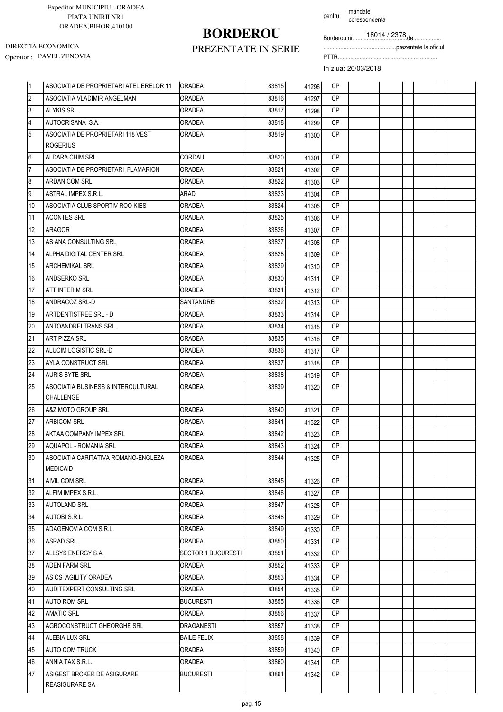## **BORDEROU**

pentru mandate corespondenta

Borderou nr. .................................de..................

...............................................prezentate la oficiul

Operator : PAVEL ZENOVIA PTTR................................................................ DIRECTIA ECONOMICA

### PREZENTATE IN SERIE

| 11             | ASOCIATIA DE PROPRIETARI ATELIERELOR 11                | <b>ORADEA</b>             | 83815 | 41296 | <b>CP</b> |  |  |  |
|----------------|--------------------------------------------------------|---------------------------|-------|-------|-----------|--|--|--|
| $\overline{2}$ | ASOCIATIA VLADIMIR ANGELMAN                            | <b>ORADEA</b>             | 83816 | 41297 | <b>CP</b> |  |  |  |
| 3              | <b>ALYKIS SRL</b>                                      | <b>ORADEA</b>             | 83817 | 41298 | <b>CP</b> |  |  |  |
| $\overline{4}$ | AUTOCRISANA S.A.                                       | <b>ORADEA</b>             | 83818 | 41299 | <b>CP</b> |  |  |  |
| 5              | ASOCIATIA DE PROPRIETARI 118 VEST                      | ORADEA                    | 83819 | 41300 | <b>CP</b> |  |  |  |
|                | <b>ROGERIUS</b>                                        |                           |       |       |           |  |  |  |
| 6              | ALDARA CHIM SRL                                        | CORDAU                    | 83820 | 41301 | <b>CP</b> |  |  |  |
| $\overline{7}$ | ASOCIATIA DE PROPRIETARI FLAMARION                     | <b>ORADEA</b>             | 83821 | 41302 | <b>CP</b> |  |  |  |
| 8              | <b>ARDAN COM SRL</b>                                   | <b>ORADEA</b>             | 83822 | 41303 | <b>CP</b> |  |  |  |
| 9              | <b>ASTRAL IMPEX S.R.L.</b>                             | ARAD                      | 83823 | 41304 | CP        |  |  |  |
| 10             | ASOCIATIA CLUB SPORTIV ROO KIES                        | <b>ORADEA</b>             | 83824 | 41305 | <b>CP</b> |  |  |  |
| 11             | <b>ACONTES SRL</b>                                     | ORADEA                    | 83825 | 41306 | <b>CP</b> |  |  |  |
| 12             | ARAGOR                                                 | <b>ORADEA</b>             | 83826 | 41307 | CP        |  |  |  |
| 13             | AS ANA CONSULTING SRL                                  | <b>ORADEA</b>             | 83827 | 41308 | <b>CP</b> |  |  |  |
| 14             | ALPHA DIGITAL CENTER SRL                               | <b>ORADEA</b>             | 83828 | 41309 | CP        |  |  |  |
| 15             | <b>ARCHEMIKAL SRL</b>                                  | ORADEA                    | 83829 | 41310 | <b>CP</b> |  |  |  |
| 16             | ANDSERKO SRL                                           | <b>ORADEA</b>             | 83830 | 41311 | CP        |  |  |  |
| 17             | ATT INTERIM SRL                                        | ORADEA                    | 83831 | 41312 | <b>CP</b> |  |  |  |
| 18             | ANDRACOZ SRL-D                                         | SANTANDREI                | 83832 | 41313 | <b>CP</b> |  |  |  |
| 19             | ARTDENTISTREE SRL - D                                  | ORADEA                    | 83833 | 41314 | <b>CP</b> |  |  |  |
| 20             | ANTOANDREI TRANS SRL                                   | <b>ORADEA</b>             | 83834 | 41315 | <b>CP</b> |  |  |  |
| 21             | ART PIZZA SRL                                          | <b>ORADEA</b>             | 83835 | 41316 | CP        |  |  |  |
| 22             | ALUCIM LOGISTIC SRL-D                                  | ORADEA                    | 83836 | 41317 | CP        |  |  |  |
| 23             | AYLA CONSTRUCT SRL                                     | ORADEA                    | 83837 | 41318 | <b>CP</b> |  |  |  |
| 24             | <b>AURIS BYTE SRL</b>                                  | <b>ORADEA</b>             | 83838 | 41319 | <b>CP</b> |  |  |  |
| 25             | ASOCIATIA BUSINESS & INTERCULTURAL                     | ORADEA                    | 83839 | 41320 | CP        |  |  |  |
|                | <b>CHALLENGE</b>                                       |                           |       |       |           |  |  |  |
| 26             | A&Z MOTO GROUP SRL                                     | <b>ORADEA</b>             | 83840 | 41321 | CP        |  |  |  |
| 27             | <b>ARBICOM SRL</b>                                     | ORADEA                    | 83841 | 41322 | <b>CP</b> |  |  |  |
| 28             | AKTAA COMPANY IMPEX SRL                                | <b>ORADEA</b>             | 83842 | 41323 | <b>CP</b> |  |  |  |
| 29             | AQUAPOL - ROMANIA SRL                                  | <b>ORADEA</b>             | 83843 | 41324 | <b>CP</b> |  |  |  |
| 30             | ASOCIATIA CARITATIVA ROMANO-ENGLEZA<br><b>MEDICAID</b> | <b>JORADEA</b>            | 83844 | 41325 | CP.       |  |  |  |
| 31             | <b>AIVIL COM SRL</b>                                   | <b>ORADEA</b>             | 83845 | 41326 | <b>CP</b> |  |  |  |
| 32             | ALFIM IMPEX S.R.L.                                     | ORADEA                    | 83846 | 41327 | CP.       |  |  |  |
| 33             | <b>AUTOLAND SRL</b>                                    | ORADEA                    | 83847 | 41328 | CP        |  |  |  |
| 34             | AUTOBI S.R.L.                                          | ORADEA                    | 83848 | 41329 | CP        |  |  |  |
| 35             | ADAGENOVIA COM S.R.L.                                  | <b>ORADEA</b>             | 83849 | 41330 | CP        |  |  |  |
| 36             | <b>ASRAD SRL</b>                                       | <b>ORADEA</b>             | 83850 | 41331 | CP        |  |  |  |
| 37             | ALLSYS ENERGY S.A.                                     | <b>SECTOR 1 BUCURESTI</b> | 83851 | 41332 | CP.       |  |  |  |
| 38             | ADEN FARM SRL                                          | ORADEA                    | 83852 | 41333 | СP        |  |  |  |
| 39             | AS CS AGILITY ORADEA                                   | <b>ORADEA</b>             | 83853 | 41334 | CP        |  |  |  |
| 40             | AUDITEXPERT CONSULTING SRL                             | ORADEA                    | 83854 | 41335 | CP.       |  |  |  |
| 41             | AUTO ROM SRL                                           | BUCURESTI                 | 83855 | 41336 | <b>CP</b> |  |  |  |
| 42             | <b>AMATIC SRL</b>                                      | <b>ORADEA</b>             | 83856 | 41337 | CP.       |  |  |  |
| 43             | AGROCONSTRUCT GHEORGHE SRL                             | DRAGANESTI                | 83857 | 41338 | CP        |  |  |  |
| 44             | ALEBIA LUX SRL                                         | <b>BAILE FELIX</b>        | 83858 | 41339 | CP        |  |  |  |
| 45             | AUTO COM TRUCK                                         | ORADEA                    | 83859 | 41340 | <b>CP</b> |  |  |  |
| 46             | ANNIA TAX S.R.L.                                       | ORADEA                    | 83860 | 41341 | <b>CP</b> |  |  |  |
| 47             | ASIGEST BROKER DE ASIGURARE                            | <b>BUCURESTI</b>          | 83861 | 41342 | <b>CP</b> |  |  |  |
|                | REASIGURARE SA                                         |                           |       |       |           |  |  |  |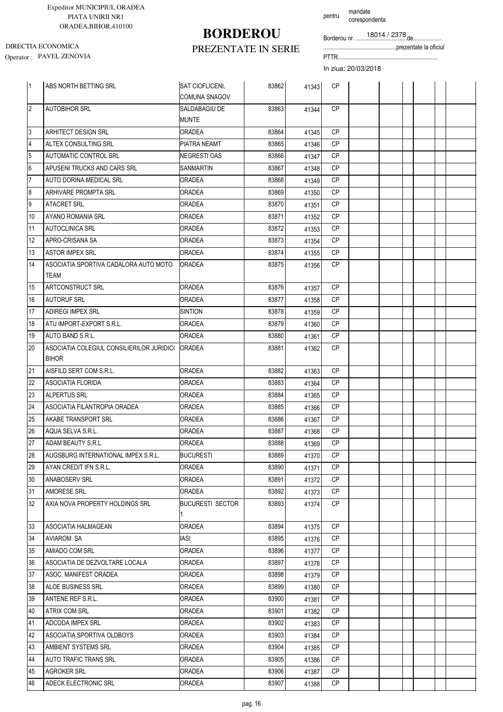# **BORDEROU**

PREZENTATE IN SERIE

DIRECTIA ECONOMICA

Borderou nr. .................................de.................. corespondenta

...............................................prezentate la oficiul

Operator : PAVEL ZENOVIA PTTR................................................................

In ziua: 20/03/2018

pentru mandate

| $\vert$ 1       | ABS NORTH BETTING SRL                                     | SAT CIOFLICENI,<br><b>COMUNA SNAGOV</b> | 83862 | 41343 | <b>CP</b> |  |  |  |
|-----------------|-----------------------------------------------------------|-----------------------------------------|-------|-------|-----------|--|--|--|
| $\overline{2}$  | <b>AUTOBIHOR SRL</b>                                      | SALDABAGIU DE<br><b>MUNTE</b>           | 83863 | 41344 | <b>CP</b> |  |  |  |
| 3               | <b>ARHITECT DESIGN SRL</b>                                | <b>ORADEA</b>                           | 83864 | 41345 | <b>CP</b> |  |  |  |
| $\overline{4}$  | ALTEX CONSULTING SRL                                      | PIATRA NEAMT                            | 83865 | 41346 | CP        |  |  |  |
| 5               | AUTOMATIC CONTROL SRL                                     | <b>NEGRESTIOAS</b>                      | 83866 | 41347 | <b>CP</b> |  |  |  |
| $6\phantom{.}6$ | APUSENI TRUCKS AND CARS SRL                               | SANMARTIN                               | 83867 | 41348 | <b>CP</b> |  |  |  |
| $\overline{7}$  | AUTO DORINA MEDICAL SRL                                   | ORADEA                                  | 83868 | 41349 | <b>CP</b> |  |  |  |
| 8               | ARHIVARE PROMPTA SRL                                      | <b>ORADEA</b>                           | 83869 | 41350 | <b>CP</b> |  |  |  |
| 9               | <b>ATACRET SRL</b>                                        | ORADEA                                  | 83870 | 41351 | <b>CP</b> |  |  |  |
| 10              | AYANO ROMANIA SRL                                         | ORADEA                                  | 83871 | 41352 | CP        |  |  |  |
| 11              | <b>AUTOCLINICA SRL</b>                                    | <b>ORADEA</b>                           | 83872 | 41353 | CP        |  |  |  |
| 12              | APRO-CRISANA SA                                           | ORADEA                                  | 83873 | 41354 | <b>CP</b> |  |  |  |
| 13              | <b>ASTOR IMPEX SRL</b>                                    | <b>ORADEA</b>                           | 83874 | 41355 | <b>CP</b> |  |  |  |
| 14              | ASOCIATIA SPORTIVA CADALORA AUTO MOTO<br><b>TEAM</b>      | ORADEA                                  | 83875 | 41356 | <b>CP</b> |  |  |  |
| 15              | ARTCONSTRUCT SRL                                          | <b>ORADEA</b>                           | 83876 | 41357 | <b>CP</b> |  |  |  |
| 16              | <b>AUTORUF SRL</b>                                        | <b>ORADEA</b>                           | 83877 | 41358 | CP        |  |  |  |
| 17              | ADIREGI IMPEX SRL                                         | Sintion                                 | 83878 | 41359 | <b>CP</b> |  |  |  |
| 18              | ATU IMPORT-EXPORT S.R.L.                                  | ORADEA                                  | 83879 | 41360 | <b>CP</b> |  |  |  |
| 19              | AUTO BAND S.R.L.                                          | <b>ORADEA</b>                           | 83880 | 41361 | <b>CP</b> |  |  |  |
| 20              | ASOCIATIA COLEGIUL CONSILIERILOR JURIDICI<br><b>BIHOR</b> | <b>ORADEA</b>                           | 83881 | 41362 | <b>CP</b> |  |  |  |
| 21              | AISFILD SERT COM S.R.L.                                   | <b>ORADEA</b>                           | 83882 | 41363 | CP        |  |  |  |
| 22              | ASOCIATIA FLORIDA                                         | ORADEA                                  | 83883 | 41364 | <b>CP</b> |  |  |  |
| 23              | <b>ALPERTUS SRL</b>                                       | <b>ORADEA</b>                           | 83884 | 41365 | <b>CP</b> |  |  |  |
| 24              | ASOCIATIA FILANTROPIA ORADEA                              | ORADEA                                  | 83885 | 41366 | <b>CP</b> |  |  |  |
| 25              | AKABE TRANSPORT SRL                                       | ORADEA                                  | 83886 | 41367 | <b>CP</b> |  |  |  |
| 26              | AQUA SELVA S.R.L.                                         | <b>ORADEA</b>                           | 83887 | 41368 | <b>CP</b> |  |  |  |
| 27              | ADAM BEAUTY S.R.L.                                        | <b>ORADEA</b>                           | 83888 | 41369 | <b>CP</b> |  |  |  |
| 28              | AUGSBURG INTERNATIONAL IMPEX S.R.L.                       | <b>BUCURESTI</b>                        | 83889 | 41370 | <b>CP</b> |  |  |  |
| 29              | AYAN CREDIT IFN S.R.L.                                    | <b>ORADEA</b>                           | 83890 | 41371 | CP        |  |  |  |
| 30              | ANABOSERV SRL                                             | ORADEA                                  | 83891 | 41372 | CP        |  |  |  |
| 31              | AMORESE SRL                                               | <b>ORADEA</b>                           | 83892 | 41373 | <b>CP</b> |  |  |  |
| 32              | AXIA NOVA PROPERTY HOLDINGS SRL                           | <b>BUCURESTI SECTOR</b>                 | 83893 | 41374 | CP        |  |  |  |
| 33              | ASOCIATIA HALMAGEAN                                       | <b>ORADEA</b>                           | 83894 | 41375 | CP        |  |  |  |
| 34              | <b>AVIAROM SA</b>                                         | <b>IASI</b>                             | 83895 | 41376 | CP        |  |  |  |
| 35              | AMIADO COM SRL                                            | ORADEA                                  | 83896 | 41377 | CP.       |  |  |  |
| 36              | ASOCIATIA DE DEZVOLTARE LOCALA                            | <b>ORADEA</b>                           | 83897 | 41378 | <b>CP</b> |  |  |  |
| 37              | ASOC. MANIFEST ORADEA                                     | ORADEA                                  | 83898 | 41379 | CP        |  |  |  |
| 38              | ALOE BUSINESS SRL                                         | <b>ORADEA</b>                           | 83899 | 41380 | CP        |  |  |  |
| 39              | ANTENE REF S.R.L.                                         | <b>ORADEA</b>                           | 83900 | 41381 | CP        |  |  |  |
| 40              | <b>ATRIX COM SRL</b>                                      | ORADEA                                  | 83901 | 41382 | CP        |  |  |  |
| 41              | ADCODA IMPEX SRL                                          | <b>ORADEA</b>                           | 83902 | 41383 | CP.       |  |  |  |
| 42              | ASOCIATIA SPORTIVA OLDBOYS                                | ORADEA                                  | 83903 | 41384 | CP        |  |  |  |
| 43              | AMBIENT SYSTEMS SRL                                       | <b>ORADEA</b>                           | 83904 | 41385 | CP        |  |  |  |
| 44              | AUTO TRAFIC TRANS SRL                                     | <b>ORADEA</b>                           | 83905 | 41386 | CP        |  |  |  |
| 45              | AGROKER SRL                                               | ORADEA                                  | 83906 | 41387 | <b>CP</b> |  |  |  |
| 46              | <b>ADECK ELECTRONIC SRL</b>                               | ORADEA                                  | 83907 | 41388 | CP        |  |  |  |